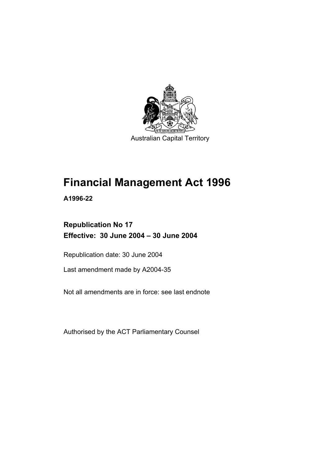

Australian Capital Territory

# **Financial Management Act 1996**

**A1996-22** 

# **Republication No 17 Effective: 30 June 2004 – 30 June 2004**

Republication date: 30 June 2004

Last amendment made by A2004-35

Not all amendments are in force: see last endnote

Authorised by the ACT Parliamentary Counsel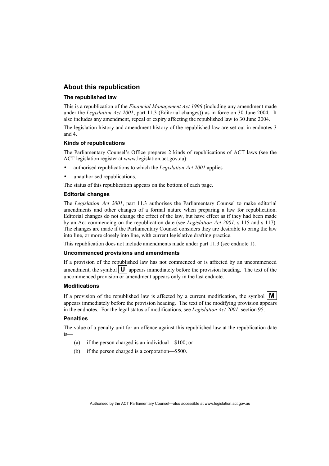#### **About this republication**

#### **The republished law**

This is a republication of the *Financial Management Act 1996* (including any amendment made under the *Legislation Act 2001*, part 11.3 (Editorial changes)) as in force on 30 June 2004*.* It also includes any amendment, repeal or expiry affecting the republished law to 30 June 2004.

The legislation history and amendment history of the republished law are set out in endnotes 3 and 4.

#### **Kinds of republications**

The Parliamentary Counsel's Office prepares 2 kinds of republications of ACT laws (see the ACT legislation register at www.legislation.act.gov.au):

- authorised republications to which the *Legislation Act 2001* applies
- unauthorised republications.

The status of this republication appears on the bottom of each page.

#### **Editorial changes**

The *Legislation Act 2001*, part 11.3 authorises the Parliamentary Counsel to make editorial amendments and other changes of a formal nature when preparing a law for republication. Editorial changes do not change the effect of the law, but have effect as if they had been made by an Act commencing on the republication date (see *Legislation Act 2001*, s 115 and s 117). The changes are made if the Parliamentary Counsel considers they are desirable to bring the law into line, or more closely into line, with current legislative drafting practice.

This republication does not include amendments made under part 11.3 (see endnote 1).

#### **Uncommenced provisions and amendments**

If a provision of the republished law has not commenced or is affected by an uncommenced amendment, the symbol  $\mathbf{U}$  appears immediately before the provision heading. The text of the uncommenced provision or amendment appears only in the last endnote.

#### **Modifications**

If a provision of the republished law is affected by a current modification, the symbol  $\mathbf{M}$ appears immediately before the provision heading. The text of the modifying provision appears in the endnotes. For the legal status of modifications, see *Legislation Act 2001*, section 95.

#### **Penalties**

The value of a penalty unit for an offence against this republished law at the republication date is—

- (a) if the person charged is an individual—\$100; or
- (b) if the person charged is a corporation—\$500.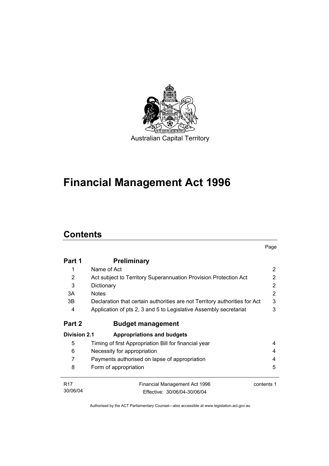

# **Financial Management Act 1996**

# **Contents**

|                     |                                                                            | Page       |
|---------------------|----------------------------------------------------------------------------|------------|
| Part 1              | <b>Preliminary</b>                                                         |            |
| 1                   | Name of Act                                                                | 2          |
| $\overline{2}$      | Act subject to Territory Superannuation Provision Protection Act           | 2          |
| 3                   | Dictionary                                                                 | 2          |
| 3A                  | <b>Notes</b>                                                               | 2          |
| 3B                  | Declaration that certain authorities are not Territory authorities for Act | 3          |
| 4                   | Application of pts 2, 3 and 5 to Legislative Assembly secretariat          | 3          |
| Part 2              | <b>Budget management</b>                                                   |            |
| <b>Division 2.1</b> | <b>Appropriations and budgets</b>                                          |            |
| 5                   | Timing of first Appropriation Bill for financial year                      | 4          |
| 6                   | Necessity for appropriation                                                |            |
| 7                   | Payments authorised on lapse of appropriation                              | 4          |
| 8                   | Form of appropriation                                                      | 5          |
| <b>R17</b>          | Financial Management Act 1996                                              | contents 1 |
| 30/06/04            | Fffective: 30/06/04-30/06/04                                               |            |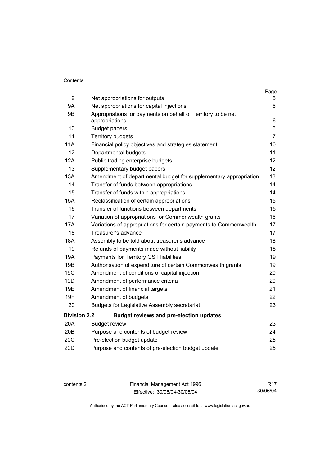#### **Contents**

|                     |                                                                                | Page           |
|---------------------|--------------------------------------------------------------------------------|----------------|
| 9                   | Net appropriations for outputs                                                 | 5.             |
| <b>9A</b>           | Net appropriations for capital injections                                      | 6              |
| 9B                  | Appropriations for payments on behalf of Territory to be net<br>appropriations | 6              |
| 10                  | <b>Budget papers</b>                                                           | 6              |
| 11                  | <b>Territory budgets</b>                                                       | $\overline{7}$ |
| <b>11A</b>          | Financial policy objectives and strategies statement                           | 10             |
| 12                  | Departmental budgets                                                           | 11             |
| 12A                 | Public trading enterprise budgets                                              | 12             |
| 13                  | Supplementary budget papers                                                    | 12             |
| 13A                 | Amendment of departmental budget for supplementary appropriation               | 13             |
| 14                  | Transfer of funds between appropriations                                       | 14             |
| 15                  | Transfer of funds within appropriations                                        | 14             |
| <b>15A</b>          | Reclassification of certain appropriations                                     | 15             |
| 16                  | Transfer of functions between departments                                      | 15             |
| 17                  | Variation of appropriations for Commonwealth grants                            | 16             |
| 17A                 | Variations of appropriations for certain payments to Commonwealth              | 17             |
| 18                  | Treasurer's advance                                                            | 17             |
| 18A                 | Assembly to be told about treasurer's advance                                  | 18             |
| 19                  | Refunds of payments made without liability                                     | 18             |
| 19A                 | Payments for Territory GST liabilities                                         | 19             |
| 19B                 | Authorisation of expenditure of certain Commonwealth grants                    | 19             |
| 19 <sub>C</sub>     | Amendment of conditions of capital injection                                   | 20             |
| 19D                 | Amendment of performance criteria                                              | 20             |
| 19E                 | Amendment of financial targets                                                 | 21             |
| 19F                 | Amendment of budgets                                                           | 22             |
| 20                  | <b>Budgets for Legislative Assembly secretariat</b>                            | 23             |
| <b>Division 2.2</b> | <b>Budget reviews and pre-election updates</b>                                 |                |
| 20A                 | <b>Budget review</b>                                                           | 23             |
| 20B                 | Purpose and contents of budget review                                          | 24             |
| 20C                 | Pre-election budget update                                                     | 25             |
| 20 <sub>D</sub>     | Purpose and contents of pre-election budget update                             | 25             |

contents 2 Financial Management Act 1996 Effective: 30/06/04-30/06/04

R17 30/06/04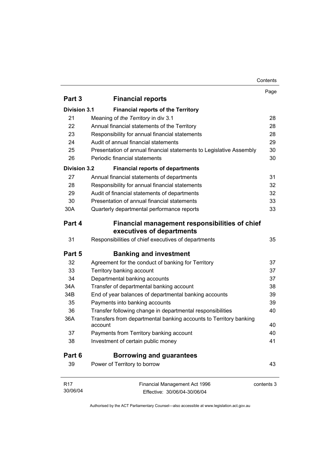#### Contents

|                     |                                                                              | Page       |
|---------------------|------------------------------------------------------------------------------|------------|
| Part 3              | <b>Financial reports</b>                                                     |            |
| <b>Division 3.1</b> | <b>Financial reports of the Territory</b>                                    |            |
| 21                  | Meaning of the Territory in div 3.1                                          | 28         |
| 22                  | Annual financial statements of the Territory                                 | 28         |
| 23                  | Responsibility for annual financial statements                               | 28         |
| 24                  | Audit of annual financial statements                                         | 29         |
| 25                  | Presentation of annual financial statements to Legislative Assembly          | 30         |
| 26                  | Periodic financial statements                                                | 30         |
| <b>Division 3.2</b> | <b>Financial reports of departments</b>                                      |            |
| 27                  | Annual financial statements of departments                                   | 31         |
| 28                  | Responsibility for annual financial statements                               | 32         |
| 29                  | Audit of financial statements of departments                                 | 32         |
| 30                  | Presentation of annual financial statements                                  | 33         |
| 30A                 | Quarterly departmental performance reports                                   | 33         |
| Part 4              | Financial management responsibilities of chief<br>executives of departments  |            |
| 31                  | Responsibilities of chief executives of departments                          | 35         |
| Part 5              | <b>Banking and investment</b>                                                |            |
| 32                  | Agreement for the conduct of banking for Territory                           | 37         |
| 33                  | Territory banking account                                                    | 37         |
| 34                  | Departmental banking accounts                                                | 37         |
| 34A                 | Transfer of departmental banking account                                     | 38         |
| 34B                 | End of year balances of departmental banking accounts                        | 39         |
| 35                  | Payments into banking accounts                                               | 39         |
| 36                  | Transfer following change in departmental responsibilities                   | 40         |
| 36A                 | Transfers from departmental banking accounts to Territory banking<br>account | 40         |
| 37                  | Payments from Territory banking account                                      | 40         |
| 38                  | Investment of certain public money                                           | 41         |
| Part 6              | <b>Borrowing and guarantees</b>                                              |            |
| 39                  | Power of Territory to borrow                                                 | 43         |
|                     |                                                                              |            |
| R17                 | Financial Management Act 1996                                                | contents 3 |
| 30/06/04            | Effective: 30/06/04-30/06/04                                                 |            |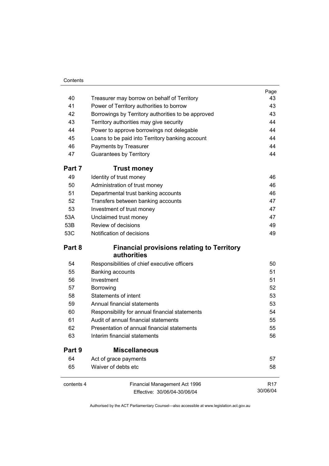#### **Contents**

|            |                                                                  | Page     |
|------------|------------------------------------------------------------------|----------|
| 40         | Treasurer may borrow on behalf of Territory                      | 43       |
| 41         | Power of Territory authorities to borrow                         | 43       |
| 42         | Borrowings by Territory authorities to be approved               | 43       |
| 43         | Territory authorities may give security                          | 44       |
| 44         | Power to approve borrowings not delegable                        | 44       |
| 45         | Loans to be paid into Territory banking account                  | 44       |
| 46         | Payments by Treasurer                                            | 44       |
| 47         | <b>Guarantees by Territory</b>                                   | 44       |
| Part 7     | <b>Trust money</b>                                               |          |
| 49         | Identity of trust money                                          | 46       |
| 50         | Administration of trust money                                    | 46       |
| 51         | Departmental trust banking accounts                              | 46       |
| 52         | Transfers between banking accounts                               | 47       |
| 53         | Investment of trust money                                        | 47       |
| 53A        | Unclaimed trust money                                            | 47       |
| 53B        | Review of decisions                                              | 49       |
| 53C        | Notification of decisions                                        | 49       |
| Part 8     | <b>Financial provisions relating to Territory</b><br>authorities |          |
| 54         | Responsibilities of chief executive officers                     | 50       |
| 55         | Banking accounts                                                 | 51       |
| 56         | Investment                                                       | 51       |
| 57         | Borrowing                                                        | 52       |
| 58         | <b>Statements of intent</b>                                      | 53       |
| 59         | Annual financial statements                                      | 53       |
| 60         | Responsibility for annual financial statements                   | 54       |
| 61         | Audit of annual financial statements                             | 55       |
| 62         | Presentation of annual financial statements                      | 55       |
| 63         | Interim financial statements                                     | 56       |
| Part 9     | <b>Miscellaneous</b>                                             |          |
| 64         | Act of grace payments                                            | 57       |
| 65         | Waiver of debts etc                                              | 58       |
| contents 4 | Financial Management Act 1996                                    | R17      |
|            | Effective: 30/06/04-30/06/04                                     | 30/06/04 |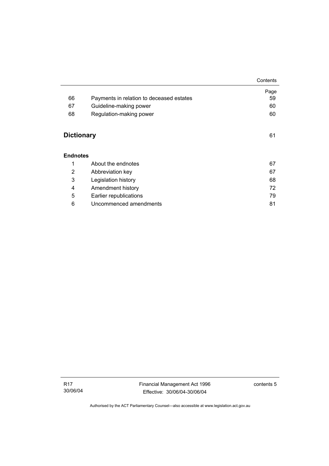|                   |                                          | Contents |
|-------------------|------------------------------------------|----------|
|                   |                                          | Page     |
| 66                | Payments in relation to deceased estates | 59       |
| 67                | Guideline-making power                   | 60       |
| 68                | Regulation-making power                  | 60       |
|                   |                                          |          |
| <b>Dictionary</b> |                                          | 61       |
| <b>Endnotes</b>   |                                          |          |
| 1                 | About the endnotes                       | 67       |
| 2                 | Abbreviation key                         | 67       |
| 3                 | Legislation history                      | 68       |
| 4                 | Amendment history                        | 72       |
| 5                 | Earlier republications                   | 79       |
| 6                 | Uncommenced amendments                   | 81       |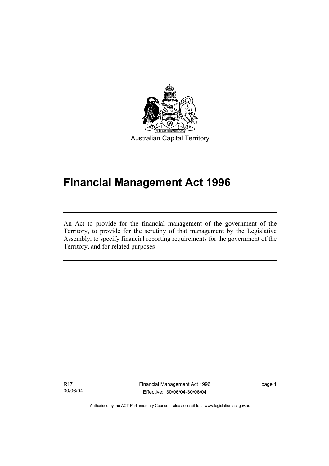

Australian Capital Territory

# **Financial Management Act 1996**

An Act to provide for the financial management of the government of the Territory, to provide for the scrutiny of that management by the Legislative Assembly, to specify financial reporting requirements for the government of the Territory, and for related purposes

R17 30/06/04

I

Financial Management Act 1996 Effective: 30/06/04-30/06/04

page 1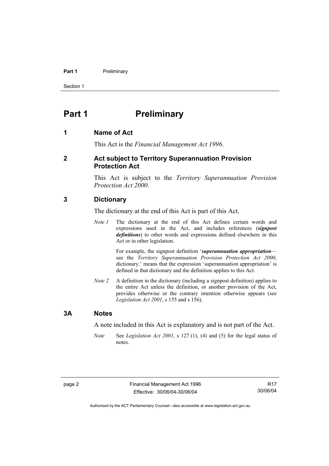#### **Part 1** Preliminary

Section 1

# **Part 1** Preliminary

#### **1 Name of Act**

This Act is the *Financial Management Act 1996*.

#### **2 Act subject to Territory Superannuation Provision Protection Act**

This Act is subject to the *Territory Superannuation Provision Protection Act 2000*.

#### **3 Dictionary**

The dictionary at the end of this Act is part of this Act.

*Note 1* The dictionary at the end of this Act defines certain words and expressions used in the Act, and includes references (*signpost definitions*) to other words and expressions defined elsewhere in this Act or in other legislation.

> For example, the signpost definition '*superannuation appropriation* see the *Territory Superannuation Provision Protection Act 2000*, dictionary.' means that the expression 'superannuation appropriation' is defined in that dictionary and the definition applies to this Act.

*Note 2* A definition in the dictionary (including a signpost definition) applies to the entire Act unless the definition, or another provision of the Act, provides otherwise or the contrary intention otherwise appears (see *Legislation Act 2001*, s 155 and s 156).

#### **3A Notes**

A note included in this Act is explanatory and is not part of the Act.

*Note* See *Legislation Act 2001*, s 127 (1), (4) and (5) for the legal status of notes.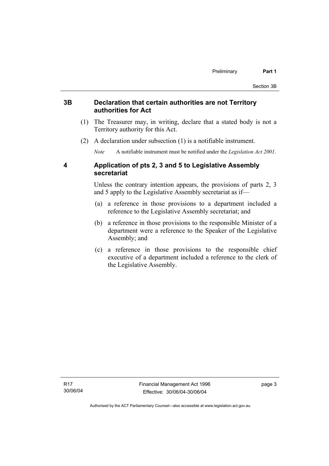#### **3B Declaration that certain authorities are not Territory authorities for Act**

- (1) The Treasurer may, in writing, declare that a stated body is not a Territory authority for this Act.
- (2) A declaration under subsection (1) is a notifiable instrument.

*Note* A notifiable instrument must be notified under the *Legislation Act 2001*.

## **4 Application of pts 2, 3 and 5 to Legislative Assembly secretariat**

Unless the contrary intention appears, the provisions of parts 2, 3 and 5 apply to the Legislative Assembly secretariat as if—

- (a) a reference in those provisions to a department included a reference to the Legislative Assembly secretariat; and
- (b) a reference in those provisions to the responsible Minister of a department were a reference to the Speaker of the Legislative Assembly; and
- (c) a reference in those provisions to the responsible chief executive of a department included a reference to the clerk of the Legislative Assembly.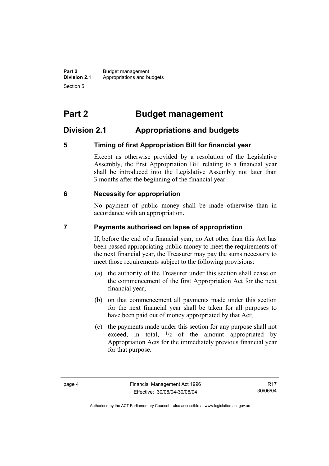**Part 2** Budget management<br>**Division 2.1** Appropriations and by **Division 2.1** Appropriations and budgets Section 5

# **Part 2 Budget management**

# **Division 2.1 Appropriations and budgets**

## **5 Timing of first Appropriation Bill for financial year**

Except as otherwise provided by a resolution of the Legislative Assembly, the first Appropriation Bill relating to a financial year shall be introduced into the Legislative Assembly not later than 3 months after the beginning of the financial year.

#### **6 Necessity for appropriation**

No payment of public money shall be made otherwise than in accordance with an appropriation.

#### **7 Payments authorised on lapse of appropriation**

If, before the end of a financial year, no Act other than this Act has been passed appropriating public money to meet the requirements of the next financial year, the Treasurer may pay the sums necessary to meet those requirements subject to the following provisions:

- (a) the authority of the Treasurer under this section shall cease on the commencement of the first Appropriation Act for the next financial year;
- (b) on that commencement all payments made under this section for the next financial year shall be taken for all purposes to have been paid out of money appropriated by that Act;
- (c) the payments made under this section for any purpose shall not exceed, in total,  $\frac{1}{2}$  of the amount appropriated by Appropriation Acts for the immediately previous financial year for that purpose.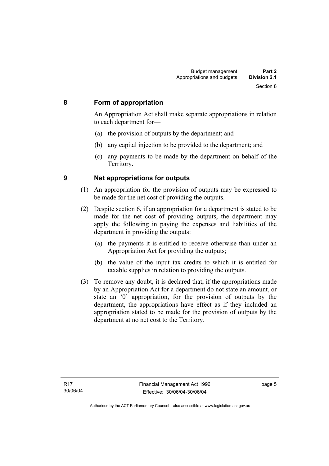#### **8 Form of appropriation**

An Appropriation Act shall make separate appropriations in relation to each department for—

- (a) the provision of outputs by the department; and
- (b) any capital injection to be provided to the department; and
- (c) any payments to be made by the department on behalf of the Territory.

- **9 Net appropriations for outputs** 
	- (1) An appropriation for the provision of outputs may be expressed to be made for the net cost of providing the outputs.
	- (2) Despite section 6, if an appropriation for a department is stated to be made for the net cost of providing outputs, the department may apply the following in paying the expenses and liabilities of the department in providing the outputs:
		- (a) the payments it is entitled to receive otherwise than under an Appropriation Act for providing the outputs;
		- (b) the value of the input tax credits to which it is entitled for taxable supplies in relation to providing the outputs.
	- (3) To remove any doubt, it is declared that, if the appropriations made by an Appropriation Act for a department do not state an amount, or state an '0' appropriation, for the provision of outputs by the department, the appropriations have effect as if they included an appropriation stated to be made for the provision of outputs by the department at no net cost to the Territory.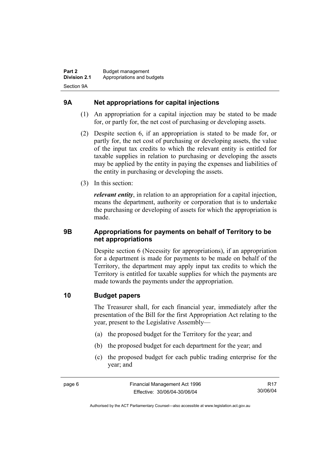# **9A Net appropriations for capital injections**

- (1) An appropriation for a capital injection may be stated to be made for, or partly for, the net cost of purchasing or developing assets.
- (2) Despite section 6, if an appropriation is stated to be made for, or partly for, the net cost of purchasing or developing assets, the value of the input tax credits to which the relevant entity is entitled for taxable supplies in relation to purchasing or developing the assets may be applied by the entity in paying the expenses and liabilities of the entity in purchasing or developing the assets.
- (3) In this section:

*relevant entity*, in relation to an appropriation for a capital injection, means the department, authority or corporation that is to undertake the purchasing or developing of assets for which the appropriation is made.

## **9B Appropriations for payments on behalf of Territory to be net appropriations**

Despite section 6 (Necessity for appropriations), if an appropriation for a department is made for payments to be made on behalf of the Territory, the department may apply input tax credits to which the Territory is entitled for taxable supplies for which the payments are made towards the payments under the appropriation.

## **10 Budget papers**

The Treasurer shall, for each financial year, immediately after the presentation of the Bill for the first Appropriation Act relating to the year, present to the Legislative Assembly—

- (a) the proposed budget for the Territory for the year; and
- (b) the proposed budget for each department for the year; and
- (c) the proposed budget for each public trading enterprise for the year; and

R17 30/06/04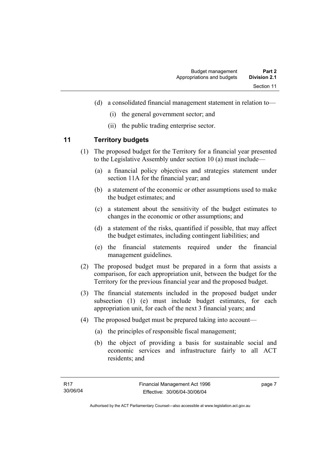- (d) a consolidated financial management statement in relation to—
	- (i) the general government sector; and
	- (ii) the public trading enterprise sector.

## **11 Territory budgets**

- (1) The proposed budget for the Territory for a financial year presented to the Legislative Assembly under section 10 (a) must include—
	- (a) a financial policy objectives and strategies statement under section 11A for the financial year; and
	- (b) a statement of the economic or other assumptions used to make the budget estimates; and
	- (c) a statement about the sensitivity of the budget estimates to changes in the economic or other assumptions; and
	- (d) a statement of the risks, quantified if possible, that may affect the budget estimates, including contingent liabilities; and
	- (e) the financial statements required under the financial management guidelines.
- (2) The proposed budget must be prepared in a form that assists a comparison, for each appropriation unit, between the budget for the Territory for the previous financial year and the proposed budget.
- (3) The financial statements included in the proposed budget under subsection (1) (e) must include budget estimates, for each appropriation unit, for each of the next 3 financial years; and
- (4) The proposed budget must be prepared taking into account—
	- (a) the principles of responsible fiscal management;
	- (b) the object of providing a basis for sustainable social and economic services and infrastructure fairly to all ACT residents; and

page 7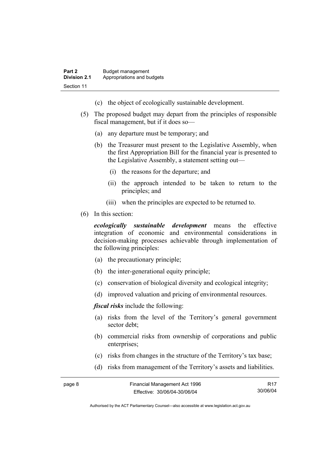- (c) the object of ecologically sustainable development.
- (5) The proposed budget may depart from the principles of responsible fiscal management, but if it does so—
	- (a) any departure must be temporary; and
	- (b) the Treasurer must present to the Legislative Assembly, when the first Appropriation Bill for the financial year is presented to the Legislative Assembly, a statement setting out—
		- (i) the reasons for the departure; and
		- (ii) the approach intended to be taken to return to the principles; and
		- (iii) when the principles are expected to be returned to.
- (6) In this section:

*ecologically sustainable development* means the effective integration of economic and environmental considerations in decision-making processes achievable through implementation of the following principles:

- (a) the precautionary principle;
- (b) the inter-generational equity principle;
- (c) conservation of biological diversity and ecological integrity;
- (d) improved valuation and pricing of environmental resources.

*fiscal risks* include the following:

- (a) risks from the level of the Territory's general government sector debt;
- (b) commercial risks from ownership of corporations and public enterprises:
- (c) risks from changes in the structure of the Territory's tax base;
- (d) risks from management of the Territory's assets and liabilities.

| page 8 | Financial Management Act 1996 | R17      |
|--------|-------------------------------|----------|
|        | Effective: 30/06/04-30/06/04  | 30/06/04 |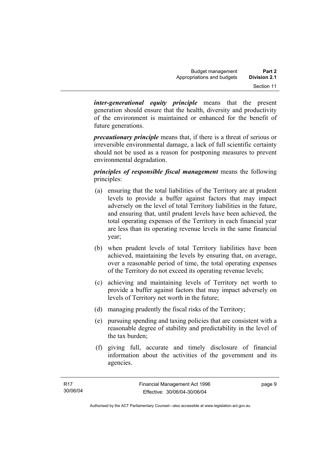*inter-generational equity principle* means that the present generation should ensure that the health, diversity and productivity of the environment is maintained or enhanced for the benefit of future generations.

*precautionary principle* means that, if there is a threat of serious or irreversible environmental damage, a lack of full scientific certainty should not be used as a reason for postponing measures to prevent environmental degradation.

*principles of responsible fiscal management* means the following principles:

- (a) ensuring that the total liabilities of the Territory are at prudent levels to provide a buffer against factors that may impact adversely on the level of total Territory liabilities in the future, and ensuring that, until prudent levels have been achieved, the total operating expenses of the Territory in each financial year are less than its operating revenue levels in the same financial year;
- (b) when prudent levels of total Territory liabilities have been achieved, maintaining the levels by ensuring that, on average, over a reasonable period of time, the total operating expenses of the Territory do not exceed its operating revenue levels;
- (c) achieving and maintaining levels of Territory net worth to provide a buffer against factors that may impact adversely on levels of Territory net worth in the future;
- (d) managing prudently the fiscal risks of the Territory;
- (e) pursuing spending and taxing policies that are consistent with a reasonable degree of stability and predictability in the level of the tax burden;
- (f) giving full, accurate and timely disclosure of financial information about the activities of the government and its agencies.

page 9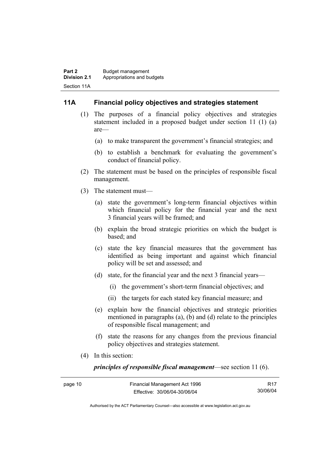#### **11A Financial policy objectives and strategies statement**

- (1) The purposes of a financial policy objectives and strategies statement included in a proposed budget under section 11 (1) (a) are—
	- (a) to make transparent the government's financial strategies; and
	- (b) to establish a benchmark for evaluating the government's conduct of financial policy.
- (2) The statement must be based on the principles of responsible fiscal management.
- (3) The statement must—
	- (a) state the government's long-term financial objectives within which financial policy for the financial year and the next 3 financial years will be framed; and
	- (b) explain the broad strategic priorities on which the budget is based; and
	- (c) state the key financial measures that the government has identified as being important and against which financial policy will be set and assessed; and
	- (d) state, for the financial year and the next 3 financial years—
		- (i) the government's short-term financial objectives; and
		- (ii) the targets for each stated key financial measure; and
	- (e) explain how the financial objectives and strategic priorities mentioned in paragraphs (a), (b) and (d) relate to the principles of responsible fiscal management; and
	- (f) state the reasons for any changes from the previous financial policy objectives and strategies statement.
- (4) In this section:

*principles of responsible fiscal management*—see section 11 (6).

| page 10 | Financial Management Act 1996 | R <sub>17</sub> |
|---------|-------------------------------|-----------------|
|         | Effective: 30/06/04-30/06/04  | 30/06/04        |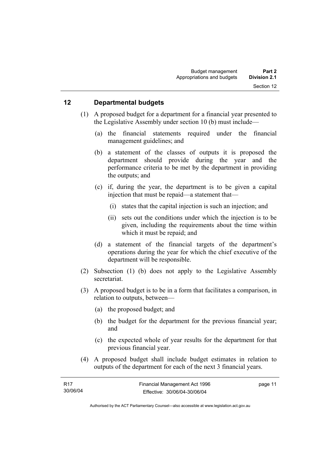#### **12 Departmental budgets**

- (1) A proposed budget for a department for a financial year presented to the Legislative Assembly under section 10 (b) must include—
	- (a) the financial statements required under the financial management guidelines; and
	- (b) a statement of the classes of outputs it is proposed the department should provide during the year and the performance criteria to be met by the department in providing the outputs; and
	- (c) if, during the year, the department is to be given a capital injection that must be repaid—a statement that—
		- (i) states that the capital injection is such an injection; and
		- (ii) sets out the conditions under which the injection is to be given, including the requirements about the time within which it must be repaid; and
	- (d) a statement of the financial targets of the department's operations during the year for which the chief executive of the department will be responsible.
- (2) Subsection (1) (b) does not apply to the Legislative Assembly secretariat.
- (3) A proposed budget is to be in a form that facilitates a comparison, in relation to outputs, between—
	- (a) the proposed budget; and
	- (b) the budget for the department for the previous financial year; and
	- (c) the expected whole of year results for the department for that previous financial year.
- (4) A proposed budget shall include budget estimates in relation to outputs of the department for each of the next 3 financial years.

| - R17    | Financial Management Act 1996 | page 11 |
|----------|-------------------------------|---------|
| 30/06/04 | Effective: 30/06/04-30/06/04  |         |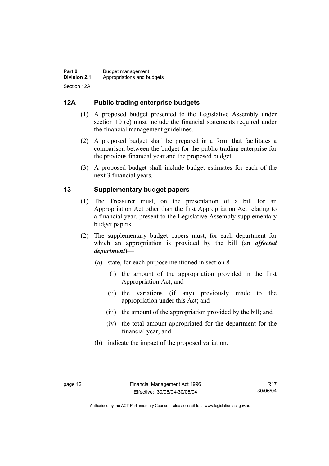# **12A Public trading enterprise budgets**

- (1) A proposed budget presented to the Legislative Assembly under section 10 (c) must include the financial statements required under the financial management guidelines.
- (2) A proposed budget shall be prepared in a form that facilitates a comparison between the budget for the public trading enterprise for the previous financial year and the proposed budget.
- (3) A proposed budget shall include budget estimates for each of the next 3 financial years.

# **13 Supplementary budget papers**

- (1) The Treasurer must, on the presentation of a bill for an Appropriation Act other than the first Appropriation Act relating to a financial year, present to the Legislative Assembly supplementary budget papers.
- (2) The supplementary budget papers must, for each department for which an appropriation is provided by the bill (an *affected department*)—
	- (a) state, for each purpose mentioned in section 8—
		- (i) the amount of the appropriation provided in the first Appropriation Act; and
		- (ii) the variations (if any) previously made to the appropriation under this Act; and
		- (iii) the amount of the appropriation provided by the bill; and
		- (iv) the total amount appropriated for the department for the financial year; and
	- (b) indicate the impact of the proposed variation.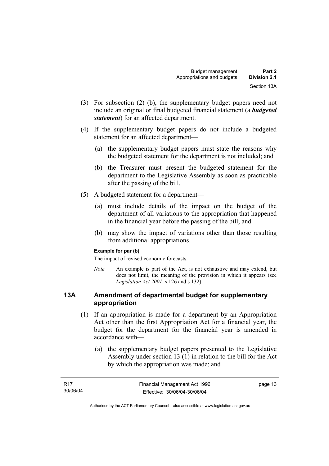- (3) For subsection (2) (b), the supplementary budget papers need not include an original or final budgeted financial statement (a *budgeted statement*) for an affected department.
- (4) If the supplementary budget papers do not include a budgeted statement for an affected department—
	- (a) the supplementary budget papers must state the reasons why the budgeted statement for the department is not included; and
	- (b) the Treasurer must present the budgeted statement for the department to the Legislative Assembly as soon as practicable after the passing of the bill.
- (5) A budgeted statement for a department—
	- (a) must include details of the impact on the budget of the department of all variations to the appropriation that happened in the financial year before the passing of the bill; and
	- (b) may show the impact of variations other than those resulting from additional appropriations.

#### **Example for par (b)**

The impact of revised economic forecasts.

*Note* An example is part of the Act, is not exhaustive and may extend, but does not limit, the meaning of the provision in which it appears (see *Legislation Act 2001*, s 126 and s 132).

#### **13A Amendment of departmental budget for supplementary appropriation**

- (1) If an appropriation is made for a department by an Appropriation Act other than the first Appropriation Act for a financial year, the budget for the department for the financial year is amended in accordance with—
	- (a) the supplementary budget papers presented to the Legislative Assembly under section 13 (1) in relation to the bill for the Act by which the appropriation was made; and

| <b>R17</b> | Financial Management Act 1996 | page 13 |
|------------|-------------------------------|---------|
| 30/06/04   | Effective: 30/06/04-30/06/04  |         |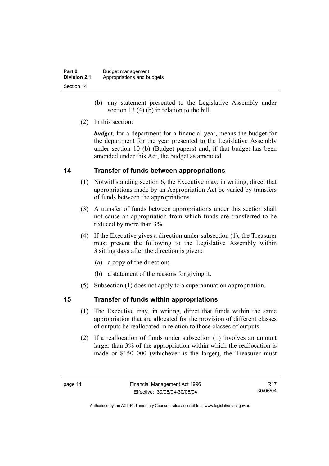| Part 2              | Budget management          |
|---------------------|----------------------------|
| <b>Division 2.1</b> | Appropriations and budgets |
| Section 14          |                            |

- (b) any statement presented to the Legislative Assembly under section 13 (4) (b) in relation to the bill.
- (2) In this section:

*budget*, for a department for a financial year, means the budget for the department for the year presented to the Legislative Assembly under section 10 (b) (Budget papers) and, if that budget has been amended under this Act, the budget as amended.

## **14 Transfer of funds between appropriations**

- (1) Notwithstanding section 6, the Executive may, in writing, direct that appropriations made by an Appropriation Act be varied by transfers of funds between the appropriations.
- (3) A transfer of funds between appropriations under this section shall not cause an appropriation from which funds are transferred to be reduced by more than 3%.
- (4) If the Executive gives a direction under subsection (1), the Treasurer must present the following to the Legislative Assembly within 3 sitting days after the direction is given:
	- (a) a copy of the direction;
	- (b) a statement of the reasons for giving it.
- (5) Subsection (1) does not apply to a superannuation appropriation.

## **15 Transfer of funds within appropriations**

- (1) The Executive may, in writing, direct that funds within the same appropriation that are allocated for the provision of different classes of outputs be reallocated in relation to those classes of outputs.
- (2) If a reallocation of funds under subsection (1) involves an amount larger than 3% of the appropriation within which the reallocation is made or \$150 000 (whichever is the larger), the Treasurer must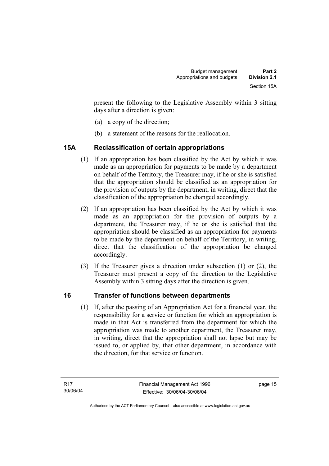present the following to the Legislative Assembly within 3 sitting days after a direction is given:

- (a) a copy of the direction;
- (b) a statement of the reasons for the reallocation.

# **15A Reclassification of certain appropriations**

- (1) If an appropriation has been classified by the Act by which it was made as an appropriation for payments to be made by a department on behalf of the Territory, the Treasurer may, if he or she is satisfied that the appropriation should be classified as an appropriation for the provision of outputs by the department, in writing, direct that the classification of the appropriation be changed accordingly.
- (2) If an appropriation has been classified by the Act by which it was made as an appropriation for the provision of outputs by a department, the Treasurer may, if he or she is satisfied that the appropriation should be classified as an appropriation for payments to be made by the department on behalf of the Territory, in writing, direct that the classification of the appropriation be changed accordingly.
- (3) If the Treasurer gives a direction under subsection (1) or (2), the Treasurer must present a copy of the direction to the Legislative Assembly within 3 sitting days after the direction is given.

# **16 Transfer of functions between departments**

 (1) If, after the passing of an Appropriation Act for a financial year, the responsibility for a service or function for which an appropriation is made in that Act is transferred from the department for which the appropriation was made to another department, the Treasurer may, in writing, direct that the appropriation shall not lapse but may be issued to, or applied by, that other department, in accordance with the direction, for that service or function.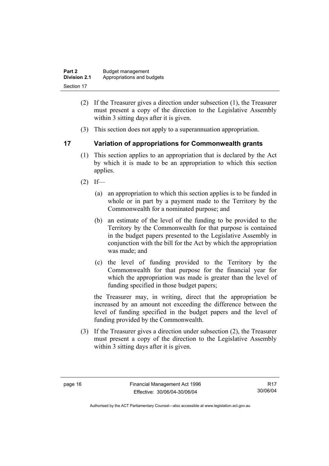| Part 2       | Budget management          |
|--------------|----------------------------|
| Division 2.1 | Appropriations and budgets |
| Section 17   |                            |

- (2) If the Treasurer gives a direction under subsection (1), the Treasurer must present a copy of the direction to the Legislative Assembly within 3 sitting days after it is given.
- (3) This section does not apply to a superannuation appropriation.

## **17 Variation of appropriations for Commonwealth grants**

- (1) This section applies to an appropriation that is declared by the Act by which it is made to be an appropriation to which this section applies.
- $(2)$  If—
	- (a) an appropriation to which this section applies is to be funded in whole or in part by a payment made to the Territory by the Commonwealth for a nominated purpose; and
	- (b) an estimate of the level of the funding to be provided to the Territory by the Commonwealth for that purpose is contained in the budget papers presented to the Legislative Assembly in conjunction with the bill for the Act by which the appropriation was made; and
	- (c) the level of funding provided to the Territory by the Commonwealth for that purpose for the financial year for which the appropriation was made is greater than the level of funding specified in those budget papers;

the Treasurer may, in writing, direct that the appropriation be increased by an amount not exceeding the difference between the level of funding specified in the budget papers and the level of funding provided by the Commonwealth.

 (3) If the Treasurer gives a direction under subsection (2), the Treasurer must present a copy of the direction to the Legislative Assembly within 3 sitting days after it is given.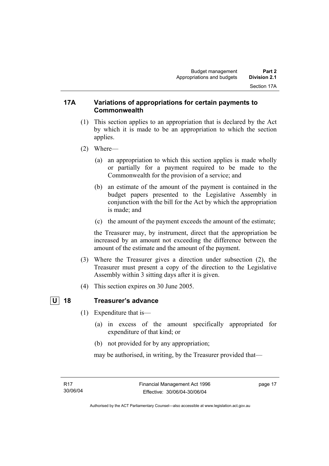#### **17A Variations of appropriations for certain payments to Commonwealth**

- (1) This section applies to an appropriation that is declared by the Act by which it is made to be an appropriation to which the section applies.
- (2) Where—
	- (a) an appropriation to which this section applies is made wholly or partially for a payment required to be made to the Commonwealth for the provision of a service; and
	- (b) an estimate of the amount of the payment is contained in the budget papers presented to the Legislative Assembly in conjunction with the bill for the Act by which the appropriation is made; and
	- (c) the amount of the payment exceeds the amount of the estimate;

the Treasurer may, by instrument, direct that the appropriation be increased by an amount not exceeding the difference between the amount of the estimate and the amount of the payment.

- (3) Where the Treasurer gives a direction under subsection (2), the Treasurer must present a copy of the direction to the Legislative Assembly within 3 sitting days after it is given.
- (4) This section expires on 30 June 2005.

#### **U 18 Treasurer's advance**

- (1) Expenditure that is—
	- (a) in excess of the amount specifically appropriated for expenditure of that kind; or
	- (b) not provided for by any appropriation;

may be authorised, in writing, by the Treasurer provided that—

page 17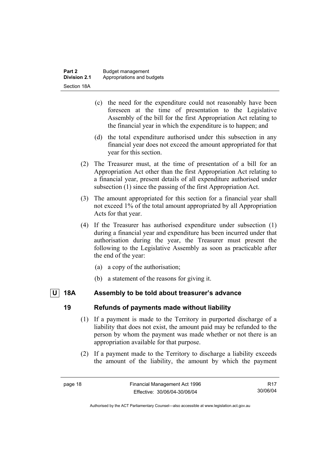- (c) the need for the expenditure could not reasonably have been foreseen at the time of presentation to the Legislative Assembly of the bill for the first Appropriation Act relating to the financial year in which the expenditure is to happen; and
- (d) the total expenditure authorised under this subsection in any financial year does not exceed the amount appropriated for that year for this section.
- (2) The Treasurer must, at the time of presentation of a bill for an Appropriation Act other than the first Appropriation Act relating to a financial year, present details of all expenditure authorised under subsection (1) since the passing of the first Appropriation Act.
- (3) The amount appropriated for this section for a financial year shall not exceed 1% of the total amount appropriated by all Appropriation Acts for that year.
- (4) If the Treasurer has authorised expenditure under subsection (1) during a financial year and expenditure has been incurred under that authorisation during the year, the Treasurer must present the following to the Legislative Assembly as soon as practicable after the end of the year:
	- (a) a copy of the authorisation;
	- (b) a statement of the reasons for giving it.

## **U 18A Assembly to be told about treasurer's advance**

## **19 Refunds of payments made without liability**

- (1) If a payment is made to the Territory in purported discharge of a liability that does not exist, the amount paid may be refunded to the person by whom the payment was made whether or not there is an appropriation available for that purpose.
- (2) If a payment made to the Territory to discharge a liability exceeds the amount of the liability, the amount by which the payment

R17 30/06/04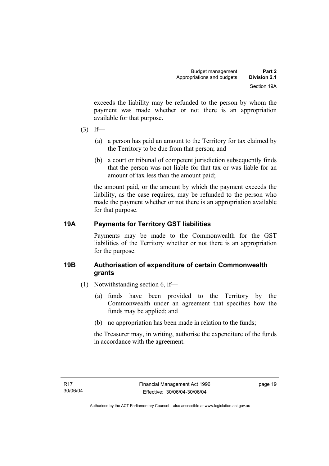exceeds the liability may be refunded to the person by whom the payment was made whether or not there is an appropriation available for that purpose.

- $(3)$  If—
	- (a) a person has paid an amount to the Territory for tax claimed by the Territory to be due from that person; and
	- (b) a court or tribunal of competent jurisdiction subsequently finds that the person was not liable for that tax or was liable for an amount of tax less than the amount paid;

the amount paid, or the amount by which the payment exceeds the liability, as the case requires, may be refunded to the person who made the payment whether or not there is an appropriation available for that purpose.

# **19A Payments for Territory GST liabilities**

Payments may be made to the Commonwealth for the GST liabilities of the Territory whether or not there is an appropriation for the purpose.

# **19B Authorisation of expenditure of certain Commonwealth grants**

- (1) Notwithstanding section 6, if—
	- (a) funds have been provided to the Territory by the Commonwealth under an agreement that specifies how the funds may be applied; and
	- (b) no appropriation has been made in relation to the funds;

the Treasurer may, in writing, authorise the expenditure of the funds in accordance with the agreement.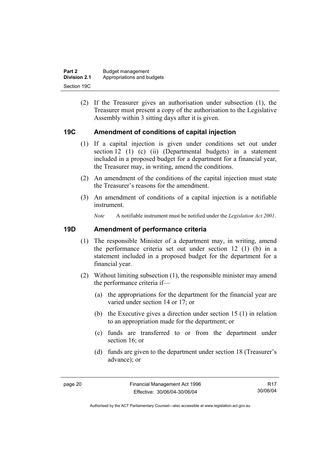| Part 2              | Budget management          |
|---------------------|----------------------------|
| <b>Division 2.1</b> | Appropriations and budgets |
| Section 19C         |                            |

 (2) If the Treasurer gives an authorisation under subsection (1), the Treasurer must present a copy of the authorisation to the Legislative Assembly within 3 sitting days after it is given.

#### **19C Amendment of conditions of capital injection**

- (1) If a capital injection is given under conditions set out under section 12 (1) (c) (ii) (Departmental budgets) in a statement included in a proposed budget for a department for a financial year, the Treasurer may, in writing, amend the conditions.
- (2) An amendment of the conditions of the capital injection must state the Treasurer's reasons for the amendment.
- (3) An amendment of conditions of a capital injection is a notifiable instrument.

*Note* A notifiable instrument must be notified under the *Legislation Act 2001*.

#### **19D Amendment of performance criteria**

- (1) The responsible Minister of a department may, in writing, amend the performance criteria set out under section 12 (1) (b) in a statement included in a proposed budget for the department for a financial year.
- (2) Without limiting subsection (1), the responsible minister may amend the performance criteria if—
	- (a) the appropriations for the department for the financial year are varied under section 14 or 17; or
	- (b) the Executive gives a direction under section 15 (1) in relation to an appropriation made for the department; or
	- (c) funds are transferred to or from the department under section 16; or
	- (d) funds are given to the department under section 18 (Treasurer's advance); or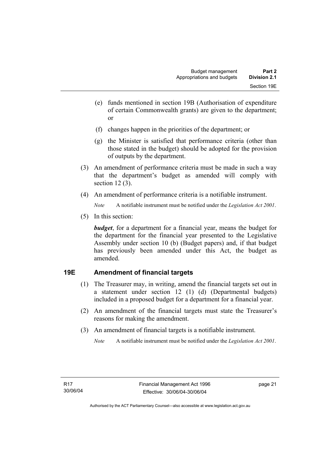- (e) funds mentioned in section 19B (Authorisation of expenditure of certain Commonwealth grants) are given to the department; or
- (f) changes happen in the priorities of the department; or
- (g) the Minister is satisfied that performance criteria (other than those stated in the budget) should be adopted for the provision of outputs by the department.
- (3) An amendment of performance criteria must be made in such a way that the department's budget as amended will comply with section 12 (3).
- (4) An amendment of performance criteria is a notifiable instrument.

*Note* A notifiable instrument must be notified under the *Legislation Act 2001*.

(5) In this section:

*budget*, for a department for a financial year, means the budget for the department for the financial year presented to the Legislative Assembly under section 10 (b) (Budget papers) and, if that budget has previously been amended under this Act, the budget as amended.

# **19E Amendment of financial targets**

- (1) The Treasurer may, in writing, amend the financial targets set out in a statement under section 12 (1) (d) (Departmental budgets) included in a proposed budget for a department for a financial year.
- (2) An amendment of the financial targets must state the Treasurer's reasons for making the amendment.
- (3) An amendment of financial targets is a notifiable instrument.
	- *Note* A notifiable instrument must be notified under the *Legislation Act 2001*.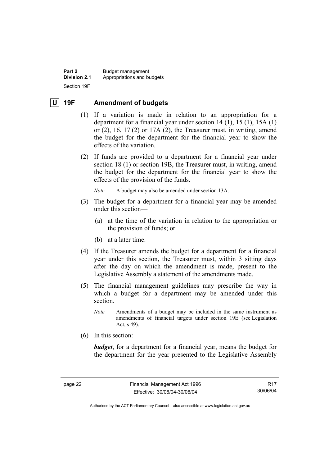**Part 2 Budget management Division 2.1** Appropriations and budgets Section 19F

#### **U 19F Amendment of budgets**

- (1) If a variation is made in relation to an appropriation for a department for a financial year under section 14 (1), 15 (1), 15A (1) or  $(2)$ , 16, 17 $(2)$  or 17A $(2)$ , the Treasurer must, in writing, amend the budget for the department for the financial year to show the effects of the variation.
- (2) If funds are provided to a department for a financial year under section 18 (1) or section 19B, the Treasurer must, in writing, amend the budget for the department for the financial year to show the effects of the provision of the funds.

*Note* A budget may also be amended under section 13A.

- (3) The budget for a department for a financial year may be amended under this section—
	- (a) at the time of the variation in relation to the appropriation or the provision of funds; or
	- (b) at a later time.
- (4) If the Treasurer amends the budget for a department for a financial year under this section, the Treasurer must, within 3 sitting days after the day on which the amendment is made, present to the Legislative Assembly a statement of the amendments made.
- (5) The financial management guidelines may prescribe the way in which a budget for a department may be amended under this section.
	- *Note* Amendments of a budget may be included in the same instrument as amendments of financial targets under section 19E (see Legislation Act, s 49).
- (6) In this section:

*budget*, for a department for a financial year, means the budget for the department for the year presented to the Legislative Assembly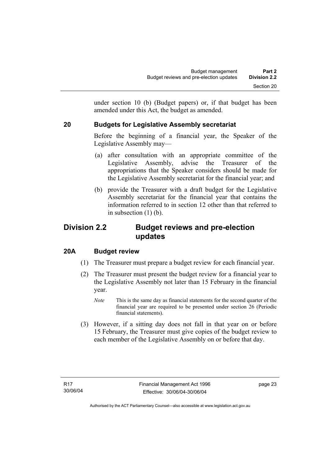under section 10 (b) (Budget papers) or, if that budget has been amended under this Act, the budget as amended.

# **20 Budgets for Legislative Assembly secretariat**

Before the beginning of a financial year, the Speaker of the Legislative Assembly may—

- (a) after consultation with an appropriate committee of the Legislative Assembly, advise the Treasurer of the appropriations that the Speaker considers should be made for the Legislative Assembly secretariat for the financial year; and
- (b) provide the Treasurer with a draft budget for the Legislative Assembly secretariat for the financial year that contains the information referred to in section 12 other than that referred to in subsection (1) (b).

# **Division 2.2 Budget reviews and pre-election updates**

# **20A Budget review**

- (1) The Treasurer must prepare a budget review for each financial year.
- (2) The Treasurer must present the budget review for a financial year to the Legislative Assembly not later than 15 February in the financial year.
	- *Note* This is the same day as financial statements for the second quarter of the financial year are required to be presented under section 26 (Periodic financial statements).
- (3) However, if a sitting day does not fall in that year on or before 15 February, the Treasurer must give copies of the budget review to each member of the Legislative Assembly on or before that day.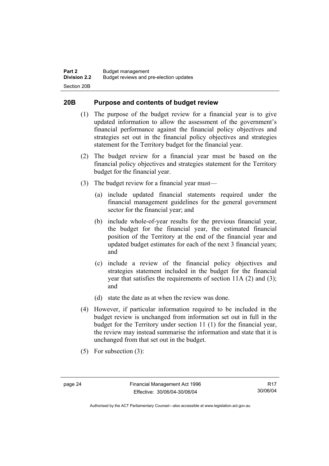#### **20B Purpose and contents of budget review**

- (1) The purpose of the budget review for a financial year is to give updated information to allow the assessment of the government's financial performance against the financial policy objectives and strategies set out in the financial policy objectives and strategies statement for the Territory budget for the financial year.
- (2) The budget review for a financial year must be based on the financial policy objectives and strategies statement for the Territory budget for the financial year.
- (3) The budget review for a financial year must—
	- (a) include updated financial statements required under the financial management guidelines for the general government sector for the financial year; and
	- (b) include whole-of-year results for the previous financial year, the budget for the financial year, the estimated financial position of the Territory at the end of the financial year and updated budget estimates for each of the next 3 financial years; and
	- (c) include a review of the financial policy objectives and strategies statement included in the budget for the financial year that satisfies the requirements of section 11A (2) and (3); and
	- (d) state the date as at when the review was done.
- (4) However, if particular information required to be included in the budget review is unchanged from information set out in full in the budget for the Territory under section 11 (1) for the financial year, the review may instead summarise the information and state that it is unchanged from that set out in the budget.
- (5) For subsection (3):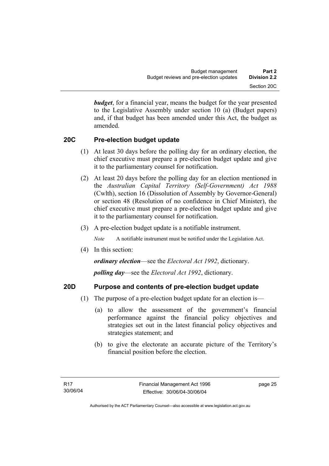*budget*, for a financial year, means the budget for the year presented to the Legislative Assembly under section 10 (a) (Budget papers) and, if that budget has been amended under this Act, the budget as amended.

# **20C Pre-election budget update**

- (1) At least 30 days before the polling day for an ordinary election, the chief executive must prepare a pre-election budget update and give it to the parliamentary counsel for notification.
- (2) At least 20 days before the polling day for an election mentioned in the *Australian Capital Territory (Self-Government) Act 1988* (Cwlth), section 16 (Dissolution of Assembly by Governor-General) or section 48 (Resolution of no confidence in Chief Minister), the chief executive must prepare a pre-election budget update and give it to the parliamentary counsel for notification.
- (3) A pre-election budget update is a notifiable instrument.

*Note* A notifiable instrument must be notified under the Legislation Act.

(4) In this section:

*ordinary election*—see the *Electoral Act 1992*, dictionary.

*polling day*—see the *Electoral Act 1992*, dictionary.

## **20D Purpose and contents of pre-election budget update**

- (1) The purpose of a pre-election budget update for an election is—
	- (a) to allow the assessment of the government's financial performance against the financial policy objectives and strategies set out in the latest financial policy objectives and strategies statement; and
	- (b) to give the electorate an accurate picture of the Territory's financial position before the election.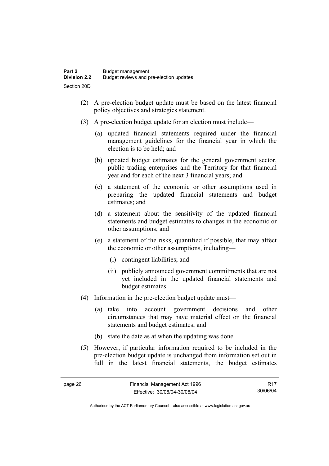- (2) A pre-election budget update must be based on the latest financial policy objectives and strategies statement.
- (3) A pre-election budget update for an election must include—
	- (a) updated financial statements required under the financial management guidelines for the financial year in which the election is to be held; and
	- (b) updated budget estimates for the general government sector, public trading enterprises and the Territory for that financial year and for each of the next 3 financial years; and
	- (c) a statement of the economic or other assumptions used in preparing the updated financial statements and budget estimates; and
	- (d) a statement about the sensitivity of the updated financial statements and budget estimates to changes in the economic or other assumptions; and
	- (e) a statement of the risks, quantified if possible, that may affect the economic or other assumptions, including—
		- (i) contingent liabilities; and
		- (ii) publicly announced government commitments that are not yet included in the updated financial statements and budget estimates.
- (4) Information in the pre-election budget update must—
	- (a) take into account government decisions and other circumstances that may have material effect on the financial statements and budget estimates; and
	- (b) state the date as at when the updating was done.
- (5) However, if particular information required to be included in the pre-election budget update is unchanged from information set out in full in the latest financial statements, the budget estimates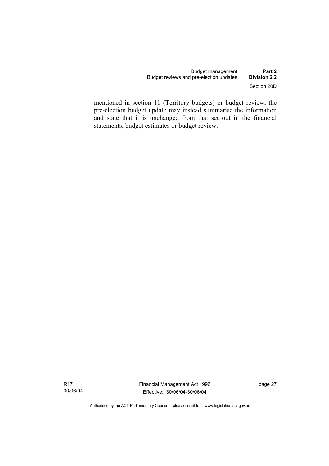mentioned in section 11 (Territory budgets) or budget review, the pre-election budget update may instead summarise the information and state that it is unchanged from that set out in the financial statements, budget estimates or budget review.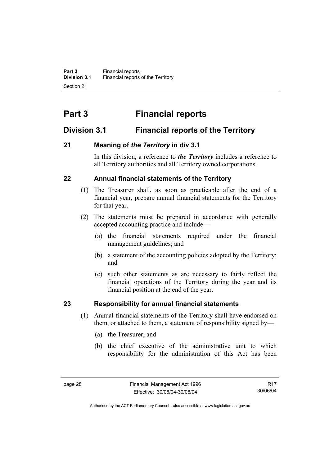# **Part 3 Financial reports**

# **Division 3.1 Financial reports of the Territory**

# **21 Meaning of** *the Territory* **in div 3.1**

In this division, a reference to *the Territory* includes a reference to all Territory authorities and all Territory owned corporations.

# **22 Annual financial statements of the Territory**

- (1) The Treasurer shall, as soon as practicable after the end of a financial year, prepare annual financial statements for the Territory for that year.
- (2) The statements must be prepared in accordance with generally accepted accounting practice and include—
	- (a) the financial statements required under the financial management guidelines; and
	- (b) a statement of the accounting policies adopted by the Territory; and
	- (c) such other statements as are necessary to fairly reflect the financial operations of the Territory during the year and its financial position at the end of the year.

# **23 Responsibility for annual financial statements**

- (1) Annual financial statements of the Territory shall have endorsed on them, or attached to them, a statement of responsibility signed by—
	- (a) the Treasurer; and
	- (b) the chief executive of the administrative unit to which responsibility for the administration of this Act has been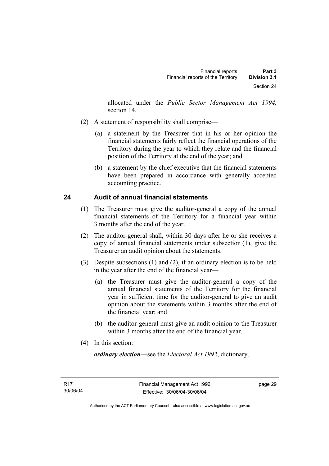allocated under the *Public Sector Management Act 1994*, section 14.

- (2) A statement of responsibility shall comprise—
	- (a) a statement by the Treasurer that in his or her opinion the financial statements fairly reflect the financial operations of the Territory during the year to which they relate and the financial position of the Territory at the end of the year; and
	- (b) a statement by the chief executive that the financial statements have been prepared in accordance with generally accepted accounting practice.

## **24 Audit of annual financial statements**

- (1) The Treasurer must give the auditor-general a copy of the annual financial statements of the Territory for a financial year within 3 months after the end of the year.
- (2) The auditor-general shall, within 30 days after he or she receives a copy of annual financial statements under subsection (1), give the Treasurer an audit opinion about the statements.
- (3) Despite subsections (1) and (2), if an ordinary election is to be held in the year after the end of the financial year—
	- (a) the Treasurer must give the auditor-general a copy of the annual financial statements of the Territory for the financial year in sufficient time for the auditor-general to give an audit opinion about the statements within 3 months after the end of the financial year; and
	- (b) the auditor-general must give an audit opinion to the Treasurer within 3 months after the end of the financial year.
- (4) In this section:

*ordinary election*—see the *Electoral Act 1992*, dictionary.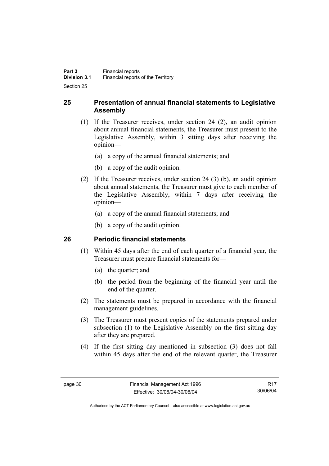## **25 Presentation of annual financial statements to Legislative Assembly**

- (1) If the Treasurer receives, under section 24 (2), an audit opinion about annual financial statements, the Treasurer must present to the Legislative Assembly, within 3 sitting days after receiving the opinion—
	- (a) a copy of the annual financial statements; and
	- (b) a copy of the audit opinion.
- (2) If the Treasurer receives, under section 24 (3) (b), an audit opinion about annual statements, the Treasurer must give to each member of the Legislative Assembly, within 7 days after receiving the opinion—
	- (a) a copy of the annual financial statements; and
	- (b) a copy of the audit opinion.

## **26 Periodic financial statements**

- (1) Within 45 days after the end of each quarter of a financial year, the Treasurer must prepare financial statements for—
	- (a) the quarter; and
	- (b) the period from the beginning of the financial year until the end of the quarter.
- (2) The statements must be prepared in accordance with the financial management guidelines.
- (3) The Treasurer must present copies of the statements prepared under subsection (1) to the Legislative Assembly on the first sitting day after they are prepared.
- (4) If the first sitting day mentioned in subsection (3) does not fall within 45 days after the end of the relevant quarter, the Treasurer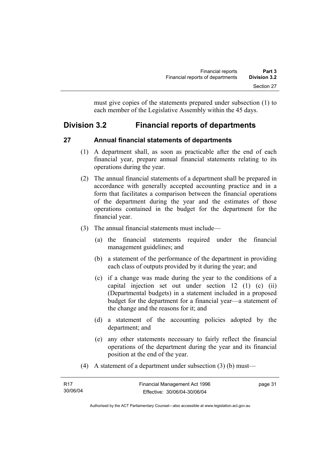must give copies of the statements prepared under subsection (1) to each member of the Legislative Assembly within the 45 days.

# **Division 3.2 Financial reports of departments**

## **27 Annual financial statements of departments**

- (1) A department shall, as soon as practicable after the end of each financial year, prepare annual financial statements relating to its operations during the year.
- (2) The annual financial statements of a department shall be prepared in accordance with generally accepted accounting practice and in a form that facilitates a comparison between the financial operations of the department during the year and the estimates of those operations contained in the budget for the department for the financial year.
- (3) The annual financial statements must include—
	- (a) the financial statements required under the financial management guidelines; and
	- (b) a statement of the performance of the department in providing each class of outputs provided by it during the year; and
	- (c) if a change was made during the year to the conditions of a capital injection set out under section 12 (1) (c) (ii) (Departmental budgets) in a statement included in a proposed budget for the department for a financial year—a statement of the change and the reasons for it; and
	- (d) a statement of the accounting policies adopted by the department; and
	- (e) any other statements necessary to fairly reflect the financial operations of the department during the year and its financial position at the end of the year.
- (4) A statement of a department under subsection (3) (b) must—

| - R17    | Financial Management Act 1996 | page 31 |
|----------|-------------------------------|---------|
| 30/06/04 | Effective: 30/06/04-30/06/04  |         |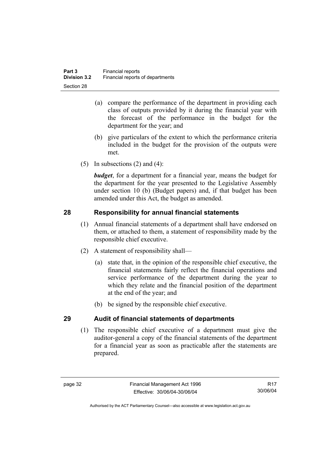- (a) compare the performance of the department in providing each class of outputs provided by it during the financial year with the forecast of the performance in the budget for the department for the year; and
- (b) give particulars of the extent to which the performance criteria included in the budget for the provision of the outputs were met.
- (5) In subsections  $(2)$  and  $(4)$ :

*budget*, for a department for a financial year, means the budget for the department for the year presented to the Legislative Assembly under section 10 (b) (Budget papers) and, if that budget has been amended under this Act, the budget as amended.

## **28 Responsibility for annual financial statements**

- (1) Annual financial statements of a department shall have endorsed on them, or attached to them, a statement of responsibility made by the responsible chief executive.
- (2) A statement of responsibility shall—
	- (a) state that, in the opinion of the responsible chief executive, the financial statements fairly reflect the financial operations and service performance of the department during the year to which they relate and the financial position of the department at the end of the year; and
	- (b) be signed by the responsible chief executive.

## **29 Audit of financial statements of departments**

 (1) The responsible chief executive of a department must give the auditor-general a copy of the financial statements of the department for a financial year as soon as practicable after the statements are prepared.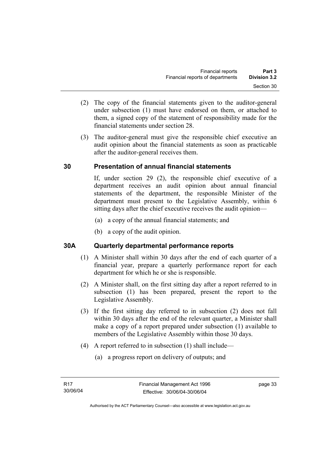- (2) The copy of the financial statements given to the auditor-general under subsection (1) must have endorsed on them, or attached to them, a signed copy of the statement of responsibility made for the financial statements under section 28.
- (3) The auditor-general must give the responsible chief executive an audit opinion about the financial statements as soon as practicable after the auditor-general receives them.

## **30 Presentation of annual financial statements**

If, under section 29 (2), the responsible chief executive of a department receives an audit opinion about annual financial statements of the department, the responsible Minister of the department must present to the Legislative Assembly, within 6 sitting days after the chief executive receives the audit opinion—

- (a) a copy of the annual financial statements; and
- (b) a copy of the audit opinion.

## **30A Quarterly departmental performance reports**

- (1) A Minister shall within 30 days after the end of each quarter of a financial year, prepare a quarterly performance report for each department for which he or she is responsible.
- (2) A Minister shall, on the first sitting day after a report referred to in subsection (1) has been prepared, present the report to the Legislative Assembly.
- (3) If the first sitting day referred to in subsection (2) does not fall within 30 days after the end of the relevant quarter, a Minister shall make a copy of a report prepared under subsection (1) available to members of the Legislative Assembly within those 30 days.
- (4) A report referred to in subsection (1) shall include—
	- (a) a progress report on delivery of outputs; and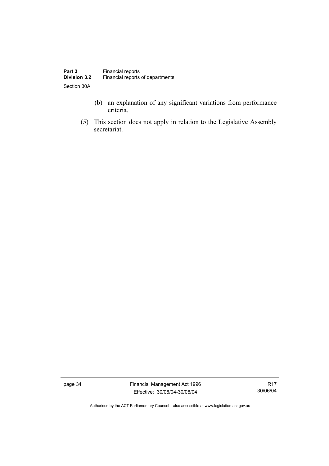- (b) an explanation of any significant variations from performance criteria.
- (5) This section does not apply in relation to the Legislative Assembly secretariat.

page 34 Financial Management Act 1996 Effective: 30/06/04-30/06/04

R17 30/06/04

Authorised by the ACT Parliamentary Counsel—also accessible at www.legislation.act.gov.au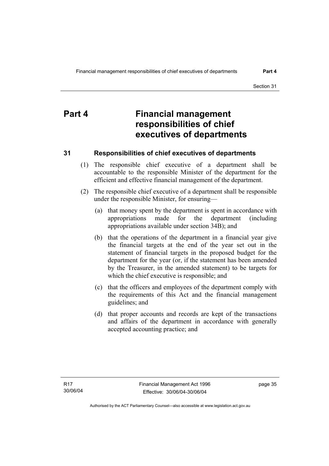# **Part 4 Financial management responsibilities of chief executives of departments**

## **31 Responsibilities of chief executives of departments**

- (1) The responsible chief executive of a department shall be accountable to the responsible Minister of the department for the efficient and effective financial management of the department.
- (2) The responsible chief executive of a department shall be responsible under the responsible Minister, for ensuring—
	- (a) that money spent by the department is spent in accordance with appropriations made for the department (including appropriations available under section 34B); and
	- (b) that the operations of the department in a financial year give the financial targets at the end of the year set out in the statement of financial targets in the proposed budget for the department for the year (or, if the statement has been amended by the Treasurer, in the amended statement) to be targets for which the chief executive is responsible; and
	- (c) that the officers and employees of the department comply with the requirements of this Act and the financial management guidelines; and
	- (d) that proper accounts and records are kept of the transactions and affairs of the department in accordance with generally accepted accounting practice; and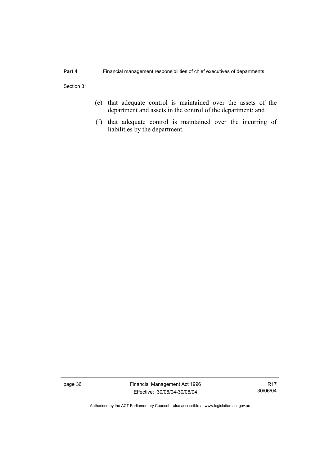- (e) that adequate control is maintained over the assets of the department and assets in the control of the department; and
- (f) that adequate control is maintained over the incurring of liabilities by the department.

page 36 Financial Management Act 1996 Effective: 30/06/04-30/06/04

R17 30/06/04

Authorised by the ACT Parliamentary Counsel—also accessible at www.legislation.act.gov.au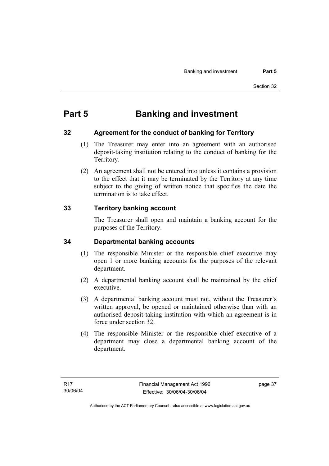# **Part 5 Banking and investment**

## **32 Agreement for the conduct of banking for Territory**

- (1) The Treasurer may enter into an agreement with an authorised deposit-taking institution relating to the conduct of banking for the Territory.
- (2) An agreement shall not be entered into unless it contains a provision to the effect that it may be terminated by the Territory at any time subject to the giving of written notice that specifies the date the termination is to take effect.

## **33 Territory banking account**

The Treasurer shall open and maintain a banking account for the purposes of the Territory.

## **34 Departmental banking accounts**

- (1) The responsible Minister or the responsible chief executive may open 1 or more banking accounts for the purposes of the relevant department.
- (2) A departmental banking account shall be maintained by the chief executive.
- (3) A departmental banking account must not, without the Treasurer's written approval, be opened or maintained otherwise than with an authorised deposit-taking institution with which an agreement is in force under section 32.
- (4) The responsible Minister or the responsible chief executive of a department may close a departmental banking account of the department.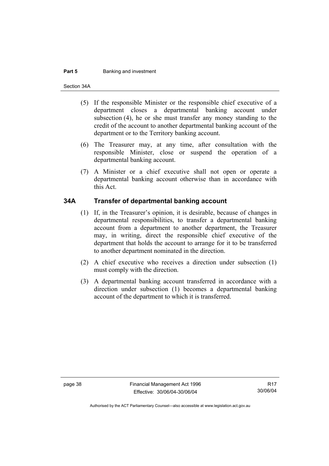#### **Part 5 Banking and investment**

Section 34A

- (5) If the responsible Minister or the responsible chief executive of a department closes a departmental banking account under subsection (4), he or she must transfer any money standing to the credit of the account to another departmental banking account of the department or to the Territory banking account.
- (6) The Treasurer may, at any time, after consultation with the responsible Minister, close or suspend the operation of a departmental banking account.
- (7) A Minister or a chief executive shall not open or operate a departmental banking account otherwise than in accordance with this Act.

#### **34A Transfer of departmental banking account**

- (1) If, in the Treasurer's opinion, it is desirable, because of changes in departmental responsibilities, to transfer a departmental banking account from a department to another department, the Treasurer may, in writing, direct the responsible chief executive of the department that holds the account to arrange for it to be transferred to another department nominated in the direction.
- (2) A chief executive who receives a direction under subsection (1) must comply with the direction.
- (3) A departmental banking account transferred in accordance with a direction under subsection (1) becomes a departmental banking account of the department to which it is transferred.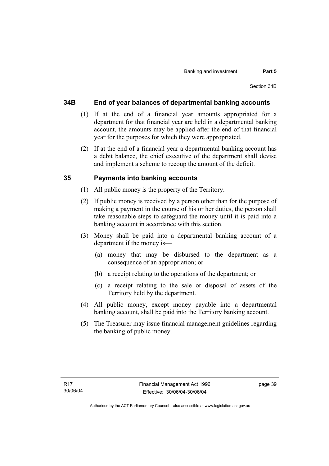#### **34B End of year balances of departmental banking accounts**

- (1) If at the end of a financial year amounts appropriated for a department for that financial year are held in a departmental banking account, the amounts may be applied after the end of that financial year for the purposes for which they were appropriated.
- (2) If at the end of a financial year a departmental banking account has a debit balance, the chief executive of the department shall devise and implement a scheme to recoup the amount of the deficit.

#### **35 Payments into banking accounts**

- (1) All public money is the property of the Territory.
- (2) If public money is received by a person other than for the purpose of making a payment in the course of his or her duties, the person shall take reasonable steps to safeguard the money until it is paid into a banking account in accordance with this section.
- (3) Money shall be paid into a departmental banking account of a department if the money is—
	- (a) money that may be disbursed to the department as a consequence of an appropriation; or
	- (b) a receipt relating to the operations of the department; or
	- (c) a receipt relating to the sale or disposal of assets of the Territory held by the department.
- (4) All public money, except money payable into a departmental banking account, shall be paid into the Territory banking account.
- (5) The Treasurer may issue financial management guidelines regarding the banking of public money.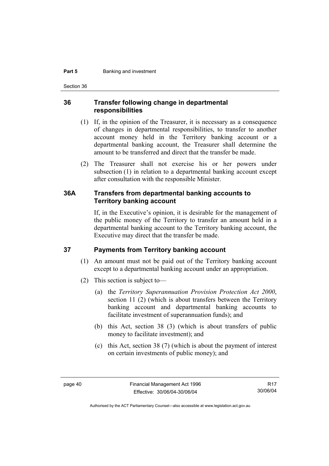#### **Part 5 Banking and investment**

Section 36

#### **36 Transfer following change in departmental responsibilities**

- (1) If, in the opinion of the Treasurer, it is necessary as a consequence of changes in departmental responsibilities, to transfer to another account money held in the Territory banking account or a departmental banking account, the Treasurer shall determine the amount to be transferred and direct that the transfer be made.
- (2) The Treasurer shall not exercise his or her powers under subsection (1) in relation to a departmental banking account except after consultation with the responsible Minister.

#### **36A Transfers from departmental banking accounts to Territory banking account**

If, in the Executive's opinion, it is desirable for the management of the public money of the Territory to transfer an amount held in a departmental banking account to the Territory banking account, the Executive may direct that the transfer be made.

#### **37 Payments from Territory banking account**

- (1) An amount must not be paid out of the Territory banking account except to a departmental banking account under an appropriation.
- (2) This section is subject to—
	- (a) the *Territory Superannuation Provision Protection Act 2000*, section 11 (2) (which is about transfers between the Territory banking account and departmental banking accounts to facilitate investment of superannuation funds); and
	- (b) this Act, section 38 (3) (which is about transfers of public money to facilitate investment); and
	- (c) this Act, section 38 (7) (which is about the payment of interest on certain investments of public money); and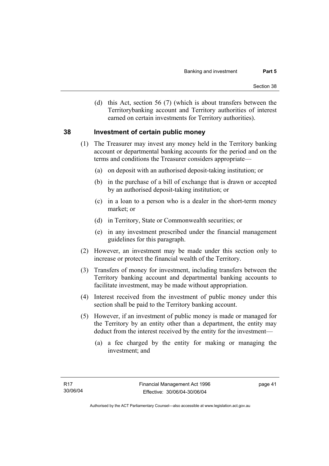(d) this Act, section 56 (7) (which is about transfers between the Territorybanking account and Territory authorities of interest earned on certain investments for Territory authorities).

#### **38 Investment of certain public money**

- (1) The Treasurer may invest any money held in the Territory banking account or departmental banking accounts for the period and on the terms and conditions the Treasurer considers appropriate—
	- (a) on deposit with an authorised deposit-taking institution; or
	- (b) in the purchase of a bill of exchange that is drawn or accepted by an authorised deposit-taking institution; or
	- (c) in a loan to a person who is a dealer in the short-term money market; or
	- (d) in Territory, State or Commonwealth securities; or
	- (e) in any investment prescribed under the financial management guidelines for this paragraph.
- (2) However, an investment may be made under this section only to increase or protect the financial wealth of the Territory.
- (3) Transfers of money for investment, including transfers between the Territory banking account and departmental banking accounts to facilitate investment, may be made without appropriation.
- (4) Interest received from the investment of public money under this section shall be paid to the Territory banking account.
- (5) However, if an investment of public money is made or managed for the Territory by an entity other than a department, the entity may deduct from the interest received by the entity for the investment—
	- (a) a fee charged by the entity for making or managing the investment; and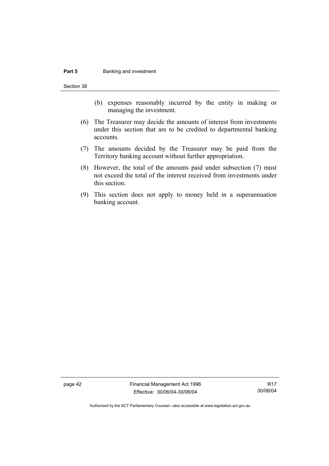#### **Part 5 Banking and investment**

Section 38

- (b) expenses reasonably incurred by the entity in making or managing the investment.
- (6) The Treasurer may decide the amounts of interest from investments under this section that are to be credited to departmental banking accounts.
- (7) The amounts decided by the Treasurer may be paid from the Territory banking account without further appropriation.
- (8) However, the total of the amounts paid under subsection (7) must not exceed the total of the interest received from investments under this section.
- (9) This section does not apply to money held in a superannuation banking account.

page 42 Financial Management Act 1996 Effective: 30/06/04-30/06/04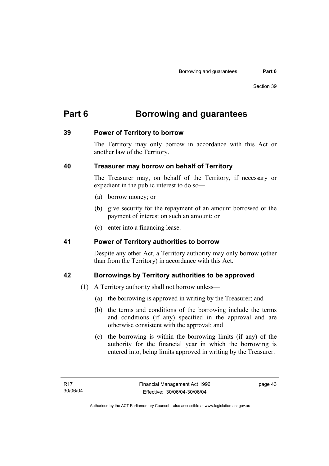# **Part 6 Borrowing and guarantees**

#### **39 Power of Territory to borrow**

The Territory may only borrow in accordance with this Act or another law of the Territory.

#### **40 Treasurer may borrow on behalf of Territory**

The Treasurer may, on behalf of the Territory, if necessary or expedient in the public interest to do so—

- (a) borrow money; or
- (b) give security for the repayment of an amount borrowed or the payment of interest on such an amount; or
- (c) enter into a financing lease.

#### **41 Power of Territory authorities to borrow**

Despite any other Act, a Territory authority may only borrow (other than from the Territory) in accordance with this Act.

## **42 Borrowings by Territory authorities to be approved**

- (1) A Territory authority shall not borrow unless—
	- (a) the borrowing is approved in writing by the Treasurer; and
	- (b) the terms and conditions of the borrowing include the terms and conditions (if any) specified in the approval and are otherwise consistent with the approval; and
	- (c) the borrowing is within the borrowing limits (if any) of the authority for the financial year in which the borrowing is entered into, being limits approved in writing by the Treasurer.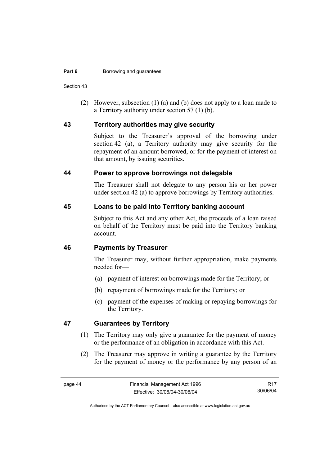Section 43

 (2) However, subsection (1) (a) and (b) does not apply to a loan made to a Territory authority under section 57 (1) (b).

#### **43 Territory authorities may give security**

Subject to the Treasurer's approval of the borrowing under section 42 (a), a Territory authority may give security for the repayment of an amount borrowed, or for the payment of interest on that amount, by issuing securities.

#### **44 Power to approve borrowings not delegable**

The Treasurer shall not delegate to any person his or her power under section 42 (a) to approve borrowings by Territory authorities.

#### **45 Loans to be paid into Territory banking account**

Subject to this Act and any other Act, the proceeds of a loan raised on behalf of the Territory must be paid into the Territory banking account.

#### **46 Payments by Treasurer**

The Treasurer may, without further appropriation, make payments needed for—

- (a) payment of interest on borrowings made for the Territory; or
- (b) repayment of borrowings made for the Territory; or
- (c) payment of the expenses of making or repaying borrowings for the Territory.

#### **47 Guarantees by Territory**

- (1) The Territory may only give a guarantee for the payment of money or the performance of an obligation in accordance with this Act.
- (2) The Treasurer may approve in writing a guarantee by the Territory for the payment of money or the performance by any person of an

R17 30/06/04

Authorised by the ACT Parliamentary Counsel—also accessible at www.legislation.act.gov.au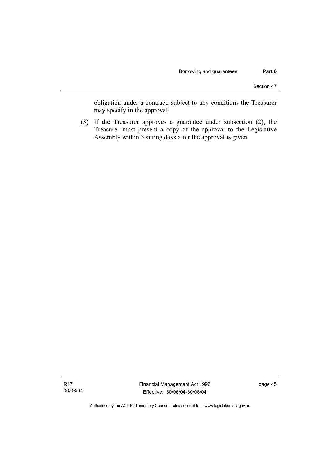obligation under a contract, subject to any conditions the Treasurer may specify in the approval.

 (3) If the Treasurer approves a guarantee under subsection (2), the Treasurer must present a copy of the approval to the Legislative Assembly within 3 sitting days after the approval is given.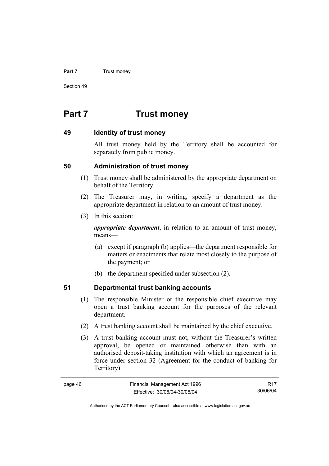#### **Part 7 Trust money**

Section 49

# **Part 7 Trust money**

#### **49 Identity of trust money**

All trust money held by the Territory shall be accounted for separately from public money.

#### **50 Administration of trust money**

- (1) Trust money shall be administered by the appropriate department on behalf of the Territory.
- (2) The Treasurer may, in writing, specify a department as the appropriate department in relation to an amount of trust money.
- (3) In this section:

*appropriate department*, in relation to an amount of trust money, means—

- (a) except if paragraph (b) applies—the department responsible for matters or enactments that relate most closely to the purpose of the payment; or
- (b) the department specified under subsection (2).

## **51 Departmental trust banking accounts**

- (1) The responsible Minister or the responsible chief executive may open a trust banking account for the purposes of the relevant department.
- (2) A trust banking account shall be maintained by the chief executive.
- (3) A trust banking account must not, without the Treasurer's written approval, be opened or maintained otherwise than with an authorised deposit-taking institution with which an agreement is in force under section 32 (Agreement for the conduct of banking for Territory).

| page 46 | Financial Management Act 1996 | R <sub>17</sub> |
|---------|-------------------------------|-----------------|
|         | Effective: 30/06/04-30/06/04  | 30/06/04        |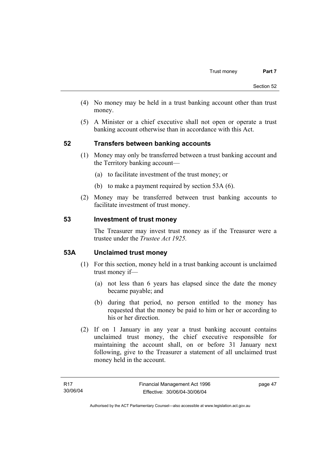- (4) No money may be held in a trust banking account other than trust money.
- (5) A Minister or a chief executive shall not open or operate a trust banking account otherwise than in accordance with this Act.

## **52 Transfers between banking accounts**

- (1) Money may only be transferred between a trust banking account and the Territory banking account—
	- (a) to facilitate investment of the trust money; or
	- (b) to make a payment required by section 53A (6).
- (2) Money may be transferred between trust banking accounts to facilitate investment of trust money.

#### **53 Investment of trust money**

The Treasurer may invest trust money as if the Treasurer were a trustee under the *Trustee Act 1925.*

#### **53A Unclaimed trust money**

- (1) For this section, money held in a trust banking account is unclaimed trust money if—
	- (a) not less than 6 years has elapsed since the date the money became payable; and
	- (b) during that period, no person entitled to the money has requested that the money be paid to him or her or according to his or her direction.
- (2) If on 1 January in any year a trust banking account contains unclaimed trust money, the chief executive responsible for maintaining the account shall, on or before 31 January next following, give to the Treasurer a statement of all unclaimed trust money held in the account.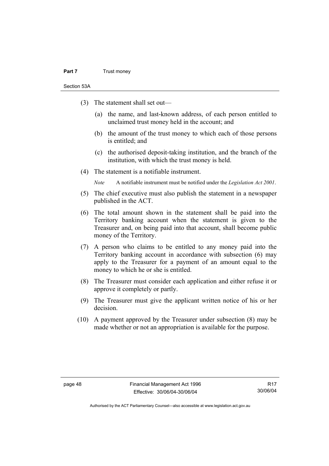#### **Part 7** Trust money

Section 53A

- (3) The statement shall set out—
	- (a) the name, and last-known address, of each person entitled to unclaimed trust money held in the account; and
	- (b) the amount of the trust money to which each of those persons is entitled; and
	- (c) the authorised deposit-taking institution, and the branch of the institution, with which the trust money is held.
- (4) The statement is a notifiable instrument.

*Note* A notifiable instrument must be notified under the *Legislation Act 2001*.

- (5) The chief executive must also publish the statement in a newspaper published in the ACT.
- (6) The total amount shown in the statement shall be paid into the Territory banking account when the statement is given to the Treasurer and, on being paid into that account, shall become public money of the Territory.
- (7) A person who claims to be entitled to any money paid into the Territory banking account in accordance with subsection (6) may apply to the Treasurer for a payment of an amount equal to the money to which he or she is entitled.
- (8) The Treasurer must consider each application and either refuse it or approve it completely or partly.
- (9) The Treasurer must give the applicant written notice of his or her decision.
- (10) A payment approved by the Treasurer under subsection (8) may be made whether or not an appropriation is available for the purpose.

R17 30/06/04

Authorised by the ACT Parliamentary Counsel—also accessible at www.legislation.act.gov.au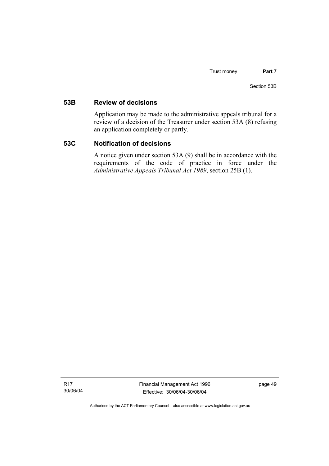#### **53B Review of decisions**

Application may be made to the administrative appeals tribunal for a review of a decision of the Treasurer under section 53A (8) refusing an application completely or partly.

#### **53C Notification of decisions**

A notice given under section 53A (9) shall be in accordance with the requirements of the code of practice in force under the *Administrative Appeals Tribunal Act 1989*, section 25B (1).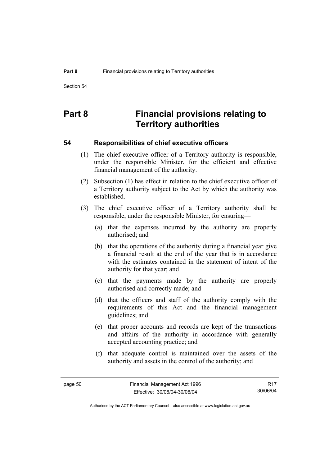# **Part 8 Financial provisions relating to Territory authorities**

#### **54 Responsibilities of chief executive officers**

- (1) The chief executive officer of a Territory authority is responsible, under the responsible Minister, for the efficient and effective financial management of the authority.
- (2) Subsection (1) has effect in relation to the chief executive officer of a Territory authority subject to the Act by which the authority was established.
- (3) The chief executive officer of a Territory authority shall be responsible, under the responsible Minister, for ensuring—
	- (a) that the expenses incurred by the authority are properly authorised; and
	- (b) that the operations of the authority during a financial year give a financial result at the end of the year that is in accordance with the estimates contained in the statement of intent of the authority for that year; and
	- (c) that the payments made by the authority are properly authorised and correctly made; and
	- (d) that the officers and staff of the authority comply with the requirements of this Act and the financial management guidelines; and
	- (e) that proper accounts and records are kept of the transactions and affairs of the authority in accordance with generally accepted accounting practice; and
	- (f) that adequate control is maintained over the assets of the authority and assets in the control of the authority; and

R17 30/06/04

Authorised by the ACT Parliamentary Counsel—also accessible at www.legislation.act.gov.au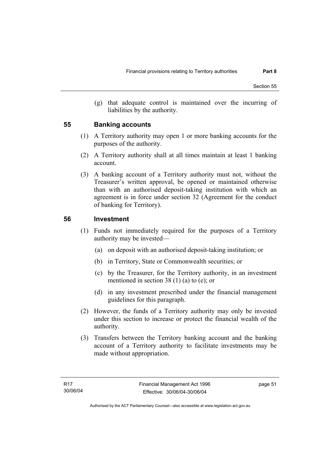(g) that adequate control is maintained over the incurring of liabilities by the authority.

#### **55 Banking accounts**

- (1) A Territory authority may open 1 or more banking accounts for the purposes of the authority.
- (2) A Territory authority shall at all times maintain at least 1 banking account.
- (3) A banking account of a Territory authority must not, without the Treasurer's written approval, be opened or maintained otherwise than with an authorised deposit-taking institution with which an agreement is in force under section 32 (Agreement for the conduct of banking for Territory).

#### **56 Investment**

- (1) Funds not immediately required for the purposes of a Territory authority may be invested—
	- (a) on deposit with an authorised deposit-taking institution; or
	- (b) in Territory, State or Commonwealth securities; or
	- (c) by the Treasurer, for the Territory authority, in an investment mentioned in section 38 (1) (a) to (e); or
	- (d) in any investment prescribed under the financial management guidelines for this paragraph.
- (2) However, the funds of a Territory authority may only be invested under this section to increase or protect the financial wealth of the authority.
- (3) Transfers between the Territory banking account and the banking account of a Territory authority to facilitate investments may be made without appropriation.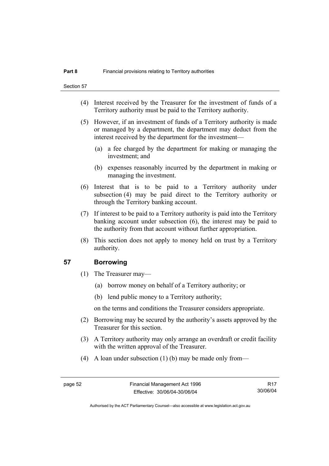- (4) Interest received by the Treasurer for the investment of funds of a Territory authority must be paid to the Territory authority.
- (5) However, if an investment of funds of a Territory authority is made or managed by a department, the department may deduct from the interest received by the department for the investment—
	- (a) a fee charged by the department for making or managing the investment; and
	- (b) expenses reasonably incurred by the department in making or managing the investment.
- (6) Interest that is to be paid to a Territory authority under subsection (4) may be paid direct to the Territory authority or through the Territory banking account.
- (7) If interest to be paid to a Territory authority is paid into the Territory banking account under subsection (6), the interest may be paid to the authority from that account without further appropriation.
- (8) This section does not apply to money held on trust by a Territory authority.

#### **57 Borrowing**

- (1) The Treasurer may—
	- (a) borrow money on behalf of a Territory authority; or
	- (b) lend public money to a Territory authority;

on the terms and conditions the Treasurer considers appropriate.

- (2) Borrowing may be secured by the authority's assets approved by the Treasurer for this section.
- (3) A Territory authority may only arrange an overdraft or credit facility with the written approval of the Treasurer.
- (4) A loan under subsection (1) (b) may be made only from—

R17 30/06/04

Authorised by the ACT Parliamentary Counsel—also accessible at www.legislation.act.gov.au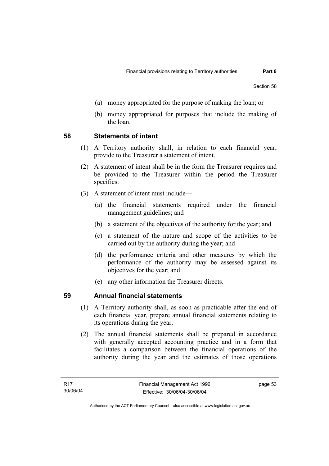- (a) money appropriated for the purpose of making the loan; or
- (b) money appropriated for purposes that include the making of the loan.

#### **58 Statements of intent**

- (1) A Territory authority shall, in relation to each financial year, provide to the Treasurer a statement of intent.
- (2) A statement of intent shall be in the form the Treasurer requires and be provided to the Treasurer within the period the Treasurer specifies.
- (3) A statement of intent must include—
	- (a) the financial statements required under the financial management guidelines; and
	- (b) a statement of the objectives of the authority for the year; and
	- (c) a statement of the nature and scope of the activities to be carried out by the authority during the year; and
	- (d) the performance criteria and other measures by which the performance of the authority may be assessed against its objectives for the year; and
	- (e) any other information the Treasurer directs.

#### **59 Annual financial statements**

- (1) A Territory authority shall, as soon as practicable after the end of each financial year, prepare annual financial statements relating to its operations during the year.
- (2) The annual financial statements shall be prepared in accordance with generally accepted accounting practice and in a form that facilitates a comparison between the financial operations of the authority during the year and the estimates of those operations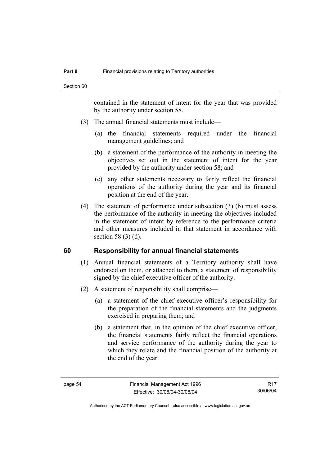contained in the statement of intent for the year that was provided by the authority under section 58.

- (3) The annual financial statements must include—
	- (a) the financial statements required under the financial management guidelines; and
	- (b) a statement of the performance of the authority in meeting the objectives set out in the statement of intent for the year provided by the authority under section 58; and
	- (c) any other statements necessary to fairly reflect the financial operations of the authority during the year and its financial position at the end of the year.
- (4) The statement of performance under subsection (3) (b) must assess the performance of the authority in meeting the objectives included in the statement of intent by reference to the performance criteria and other measures included in that statement in accordance with section 58 (3) (d).

#### **60 Responsibility for annual financial statements**

- (1) Annual financial statements of a Territory authority shall have endorsed on them, or attached to them, a statement of responsibility signed by the chief executive officer of the authority.
- (2) A statement of responsibility shall comprise—
	- (a) a statement of the chief executive officer's responsibility for the preparation of the financial statements and the judgments exercised in preparing them; and
	- (b) a statement that, in the opinion of the chief executive officer, the financial statements fairly reflect the financial operations and service performance of the authority during the year to which they relate and the financial position of the authority at the end of the year.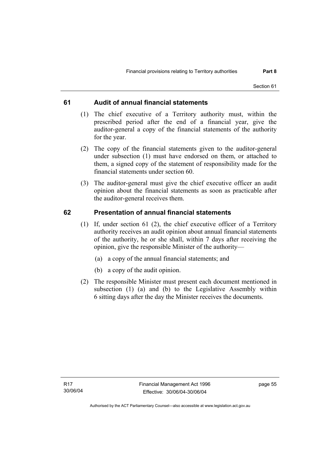#### **61 Audit of annual financial statements**

- (1) The chief executive of a Territory authority must, within the prescribed period after the end of a financial year, give the auditor-general a copy of the financial statements of the authority for the year.
- (2) The copy of the financial statements given to the auditor-general under subsection (1) must have endorsed on them, or attached to them, a signed copy of the statement of responsibility made for the financial statements under section 60.
- (3) The auditor-general must give the chief executive officer an audit opinion about the financial statements as soon as practicable after the auditor-general receives them.

#### **62 Presentation of annual financial statements**

- (1) If, under section 61 (2), the chief executive officer of a Territory authority receives an audit opinion about annual financial statements of the authority, he or she shall, within 7 days after receiving the opinion, give the responsible Minister of the authority—
	- (a) a copy of the annual financial statements; and
	- (b) a copy of the audit opinion.
- (2) The responsible Minister must present each document mentioned in subsection (1) (a) and (b) to the Legislative Assembly within 6 sitting days after the day the Minister receives the documents.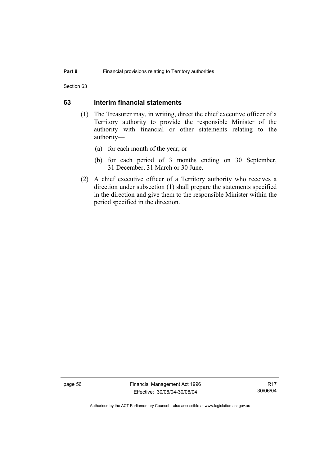Section 63

#### **63 Interim financial statements**

- (1) The Treasurer may, in writing, direct the chief executive officer of a Territory authority to provide the responsible Minister of the authority with financial or other statements relating to the authority—
	- (a) for each month of the year; or
	- (b) for each period of 3 months ending on 30 September, 31 December, 31 March or 30 June.
- (2) A chief executive officer of a Territory authority who receives a direction under subsection (1) shall prepare the statements specified in the direction and give them to the responsible Minister within the period specified in the direction.

page 56 Financial Management Act 1996 Effective: 30/06/04-30/06/04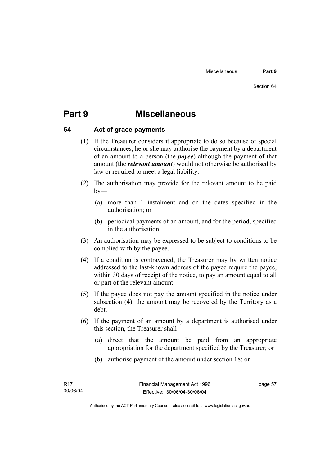# **Part 9 Miscellaneous**

#### **64 Act of grace payments**

- (1) If the Treasurer considers it appropriate to do so because of special circumstances, he or she may authorise the payment by a department of an amount to a person (the *payee*) although the payment of that amount (the *relevant amount*) would not otherwise be authorised by law or required to meet a legal liability.
- (2) The authorisation may provide for the relevant amount to be paid  $by-$ 
	- (a) more than 1 instalment and on the dates specified in the authorisation; or
	- (b) periodical payments of an amount, and for the period, specified in the authorisation.
- (3) An authorisation may be expressed to be subject to conditions to be complied with by the payee.
- (4) If a condition is contravened, the Treasurer may by written notice addressed to the last-known address of the payee require the payee, within 30 days of receipt of the notice, to pay an amount equal to all or part of the relevant amount.
- (5) If the payee does not pay the amount specified in the notice under subsection (4), the amount may be recovered by the Territory as a debt.
- (6) If the payment of an amount by a department is authorised under this section, the Treasurer shall—
	- (a) direct that the amount be paid from an appropriate appropriation for the department specified by the Treasurer; or
	- (b) authorise payment of the amount under section 18; or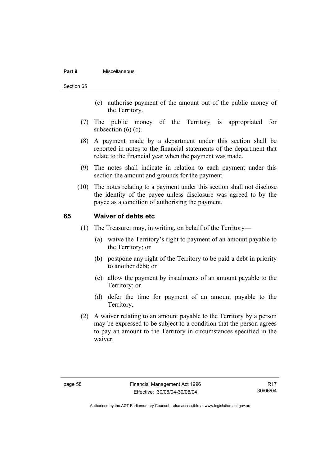#### **Part 9** Miscellaneous

#### Section 65

- (c) authorise payment of the amount out of the public money of the Territory.
- (7) The public money of the Territory is appropriated for subsection  $(6)$   $(c)$ .
- (8) A payment made by a department under this section shall be reported in notes to the financial statements of the department that relate to the financial year when the payment was made.
- (9) The notes shall indicate in relation to each payment under this section the amount and grounds for the payment.
- (10) The notes relating to a payment under this section shall not disclose the identity of the payee unless disclosure was agreed to by the payee as a condition of authorising the payment.

#### **65 Waiver of debts etc**

- (1) The Treasurer may, in writing, on behalf of the Territory—
	- (a) waive the Territory's right to payment of an amount payable to the Territory; or
	- (b) postpone any right of the Territory to be paid a debt in priority to another debt; or
	- (c) allow the payment by instalments of an amount payable to the Territory; or
	- (d) defer the time for payment of an amount payable to the Territory.
- (2) A waiver relating to an amount payable to the Territory by a person may be expressed to be subject to a condition that the person agrees to pay an amount to the Territory in circumstances specified in the waiver.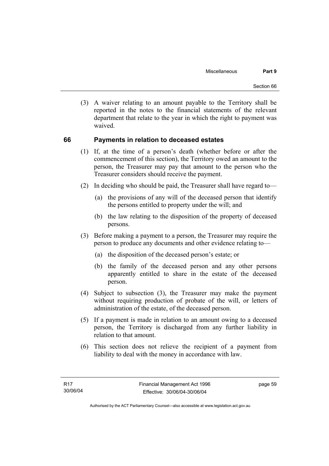(3) A waiver relating to an amount payable to the Territory shall be reported in the notes to the financial statements of the relevant department that relate to the year in which the right to payment was waived.

#### **66 Payments in relation to deceased estates**

- (1) If, at the time of a person's death (whether before or after the commencement of this section), the Territory owed an amount to the person, the Treasurer may pay that amount to the person who the Treasurer considers should receive the payment.
- (2) In deciding who should be paid, the Treasurer shall have regard to—
	- (a) the provisions of any will of the deceased person that identify the persons entitled to property under the will; and
	- (b) the law relating to the disposition of the property of deceased persons.
- (3) Before making a payment to a person, the Treasurer may require the person to produce any documents and other evidence relating to—
	- (a) the disposition of the deceased person's estate; or
	- (b) the family of the deceased person and any other persons apparently entitled to share in the estate of the deceased person.
- (4) Subject to subsection (3), the Treasurer may make the payment without requiring production of probate of the will, or letters of administration of the estate, of the deceased person.
- (5) If a payment is made in relation to an amount owing to a deceased person, the Territory is discharged from any further liability in relation to that amount.
- (6) This section does not relieve the recipient of a payment from liability to deal with the money in accordance with law.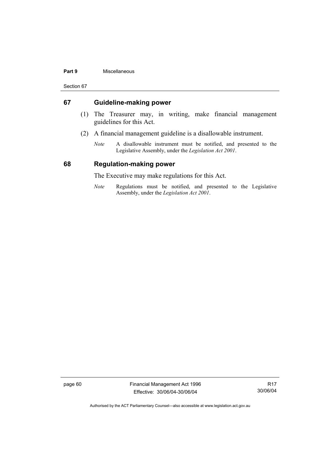#### **Part 9** Miscellaneous

Section 67

#### **67 Guideline-making power**

- (1) The Treasurer may, in writing, make financial management guidelines for this Act.
- (2) A financial management guideline is a disallowable instrument.
	- *Note* A disallowable instrument must be notified, and presented to the Legislative Assembly, under the *Legislation Act 2001*.

#### **68 Regulation-making power**

The Executive may make regulations for this Act.

*Note* Regulations must be notified, and presented to the Legislative Assembly, under the *Legislation Act 2001*.

page 60 Financial Management Act 1996 Effective: 30/06/04-30/06/04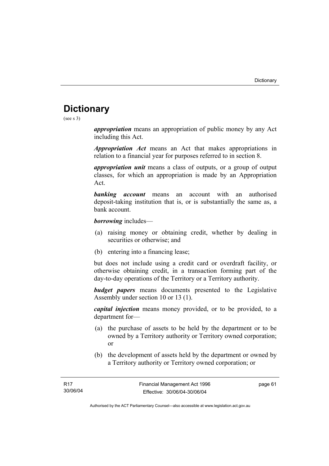# **Dictionary**

(see s 3)

*appropriation* means an appropriation of public money by any Act including this Act.

*Appropriation Act* means an Act that makes appropriations in relation to a financial year for purposes referred to in section 8.

*appropriation unit* means a class of outputs, or a group of output classes, for which an appropriation is made by an Appropriation Act.

*banking account* means an account with an authorised deposit-taking institution that is, or is substantially the same as, a bank account.

*borrowing* includes—

- (a) raising money or obtaining credit, whether by dealing in securities or otherwise; and
- (b) entering into a financing lease;

but does not include using a credit card or overdraft facility, or otherwise obtaining credit, in a transaction forming part of the day-to-day operations of the Territory or a Territory authority.

*budget papers* means documents presented to the Legislative Assembly under section 10 or 13 (1).

*capital injection* means money provided, or to be provided, to a department for—

- (a) the purchase of assets to be held by the department or to be owned by a Territory authority or Territory owned corporation; or
- (b) the development of assets held by the department or owned by a Territory authority or Territory owned corporation; or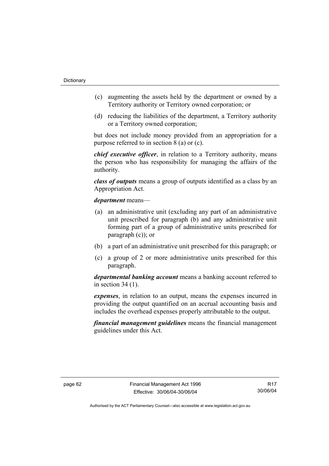- (c) augmenting the assets held by the department or owned by a Territory authority or Territory owned corporation; or
- (d) reducing the liabilities of the department, a Territory authority or a Territory owned corporation;

but does not include money provided from an appropriation for a purpose referred to in section 8 (a) or (c).

*chief executive officer*, in relation to a Territory authority, means the person who has responsibility for managing the affairs of the authority.

*class of outputs* means a group of outputs identified as a class by an Appropriation Act.

*department* means—

- (a) an administrative unit (excluding any part of an administrative unit prescribed for paragraph (b) and any administrative unit forming part of a group of administrative units prescribed for paragraph (c)); or
- (b) a part of an administrative unit prescribed for this paragraph; or
- (c) a group of 2 or more administrative units prescribed for this paragraph.

*departmental banking account* means a banking account referred to in section 34 (1).

*expenses*, in relation to an output, means the expenses incurred in providing the output quantified on an accrual accounting basis and includes the overhead expenses properly attributable to the output.

*financial management guidelines* means the financial management guidelines under this Act.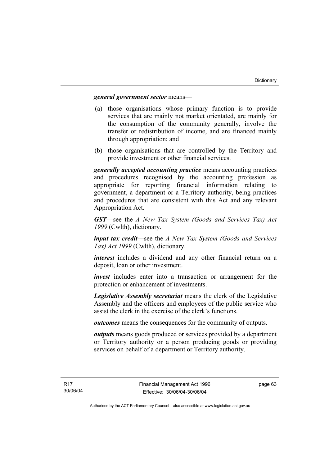#### *general government sector* means—

- (a) those organisations whose primary function is to provide services that are mainly not market orientated, are mainly for the consumption of the community generally, involve the transfer or redistribution of income, and are financed mainly through appropriation; and
- (b) those organisations that are controlled by the Territory and provide investment or other financial services.

*generally accepted accounting practice* means accounting practices and procedures recognised by the accounting profession as appropriate for reporting financial information relating to government, a department or a Territory authority, being practices and procedures that are consistent with this Act and any relevant Appropriation Act.

*GST*—see the *A New Tax System (Goods and Services Tax) Act 1999* (Cwlth), dictionary.

*input tax credit*—see the *A New Tax System (Goods and Services Tax) Act 1999* (Cwlth), dictionary.

*interest* includes a dividend and any other financial return on a deposit, loan or other investment.

*invest* includes enter into a transaction or arrangement for the protection or enhancement of investments.

*Legislative Assembly secretariat* means the clerk of the Legislative Assembly and the officers and employees of the public service who assist the clerk in the exercise of the clerk's functions.

*outcomes* means the consequences for the community of outputs.

*outputs* means goods produced or services provided by a department or Territory authority or a person producing goods or providing services on behalf of a department or Territory authority.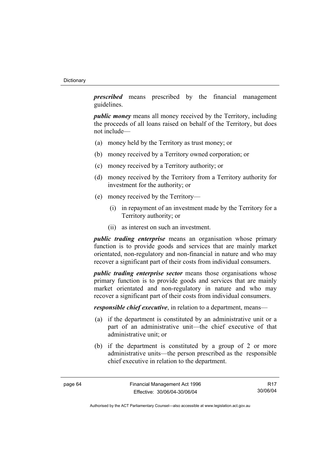*prescribed* means prescribed by the financial management guidelines.

*public money* means all money received by the Territory, including the proceeds of all loans raised on behalf of the Territory, but does not include—

- (a) money held by the Territory as trust money; or
- (b) money received by a Territory owned corporation; or
- (c) money received by a Territory authority; or
- (d) money received by the Territory from a Territory authority for investment for the authority; or
- (e) money received by the Territory—
	- (i) in repayment of an investment made by the Territory for a Territory authority; or
	- (ii) as interest on such an investment.

*public trading enterprise* means an organisation whose primary function is to provide goods and services that are mainly market orientated, non-regulatory and non-financial in nature and who may recover a significant part of their costs from individual consumers.

*public trading enterprise sector* means those organisations whose primary function is to provide goods and services that are mainly market orientated and non-regulatory in nature and who may recover a significant part of their costs from individual consumers.

*responsible chief executive*, in relation to a department, means—

- (a) if the department is constituted by an administrative unit or a part of an administrative unit—the chief executive of that administrative unit; or
- (b) if the department is constituted by a group of 2 or more administrative units—the person prescribed as the responsible chief executive in relation to the department.

R17 30/06/04

Authorised by the ACT Parliamentary Counsel—also accessible at www.legislation.act.gov.au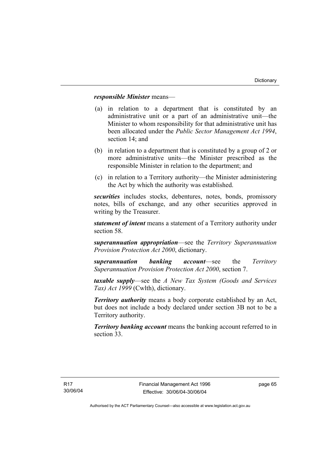### *responsible Minister* means—

- (a) in relation to a department that is constituted by an administrative unit or a part of an administrative unit—the Minister to whom responsibility for that administrative unit has been allocated under the *Public Sector Management Act 1994*, section 14; and
- (b) in relation to a department that is constituted by a group of 2 or more administrative units—the Minister prescribed as the responsible Minister in relation to the department; and
- (c) in relation to a Territory authority—the Minister administering the Act by which the authority was established.

*securities* includes stocks, debentures, notes, bonds, promissory notes, bills of exchange, and any other securities approved in writing by the Treasurer.

*statement of intent* means a statement of a Territory authority under section 58.

*superannuation appropriation*—see the *Territory Superannuation Provision Protection Act 2000*, dictionary.

*superannuation banking account*—see the *Territory Superannuation Provision Protection Act 2000*, section 7.

*taxable supply*—see the *A New Tax System (Goods and Services Tax) Act 1999* (Cwlth), dictionary.

*Territory authority* means a body corporate established by an Act, but does not include a body declared under section 3B not to be a Territory authority.

*Territory banking account* means the banking account referred to in section 33.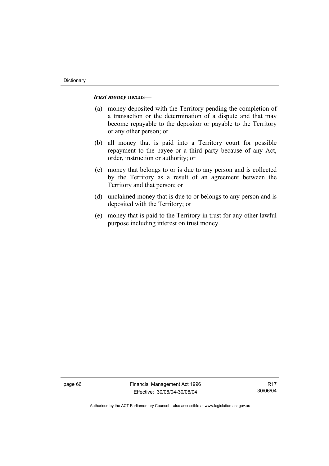*trust money* means—

- (a) money deposited with the Territory pending the completion of a transaction or the determination of a dispute and that may become repayable to the depositor or payable to the Territory or any other person; or
- (b) all money that is paid into a Territory court for possible repayment to the payee or a third party because of any Act, order, instruction or authority; or
- (c) money that belongs to or is due to any person and is collected by the Territory as a result of an agreement between the Territory and that person; or
- (d) unclaimed money that is due to or belongs to any person and is deposited with the Territory; or
- (e) money that is paid to the Territory in trust for any other lawful purpose including interest on trust money.

page 66 Financial Management Act 1996 Effective: 30/06/04-30/06/04

R17 30/06/04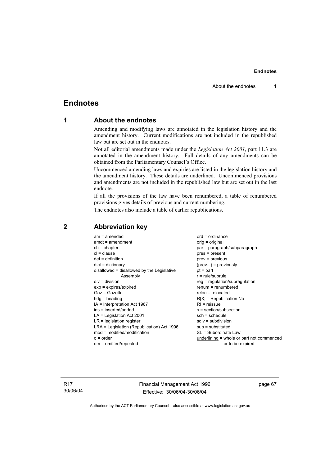## **Endnotes**

### **1 About the endnotes**

Amending and modifying laws are annotated in the legislation history and the amendment history. Current modifications are not included in the republished law but are set out in the endnotes.

Not all editorial amendments made under the *Legislation Act 2001*, part 11.3 are annotated in the amendment history. Full details of any amendments can be obtained from the Parliamentary Counsel's Office.

Uncommenced amending laws and expiries are listed in the legislation history and the amendment history. These details are underlined. Uncommenced provisions and amendments are not included in the republished law but are set out in the last endnote.

If all the provisions of the law have been renumbered, a table of renumbered provisions gives details of previous and current numbering.

The endnotes also include a table of earlier republications.

| $am = amended$<br>$amdt = amendment$<br>$ch = chapter$<br>$cl = clause$<br>$def = definition$<br>$dict = dictionary$<br>disallowed = disallowed by the Legislative<br>Assembly<br>$div = division$<br>$exp = expires/expired$<br>$Gaz = Gazette$<br>$hda =$ heading<br>$IA = Interpretation Act 1967$<br>ins = inserted/added<br>$LA =$ Legislation Act 2001<br>$LR =$ legislation register<br>LRA = Legislation (Republication) Act 1996<br>$mod = modified/modification$ | $ord = ordinance$<br>orig = original<br>par = paragraph/subparagraph<br>$pres = present$<br>$prev = previous$<br>$(\text{prev})$ = previously<br>$pt = part$<br>$r = rule/subrule$<br>$reg = regulation/subregulation$<br>$renum = renumbered$<br>$reloc = relocated$<br>$R[X]$ = Republication No<br>$RI =$ reissue<br>$s = section/subsection$<br>sch = schedule<br>$sdiv = subdivision$<br>$sub =$ substituted<br>SL = Subordinate Law |
|----------------------------------------------------------------------------------------------------------------------------------------------------------------------------------------------------------------------------------------------------------------------------------------------------------------------------------------------------------------------------------------------------------------------------------------------------------------------------|-------------------------------------------------------------------------------------------------------------------------------------------------------------------------------------------------------------------------------------------------------------------------------------------------------------------------------------------------------------------------------------------------------------------------------------------|
| $o = order$                                                                                                                                                                                                                                                                                                                                                                                                                                                                | underlining = whole or part not commenced                                                                                                                                                                                                                                                                                                                                                                                                 |
| om = omitted/repealed                                                                                                                                                                                                                                                                                                                                                                                                                                                      | or to be expired                                                                                                                                                                                                                                                                                                                                                                                                                          |

### **2 Abbreviation key**

R17 30/06/04 Financial Management Act 1996 Effective: 30/06/04-30/06/04

page 67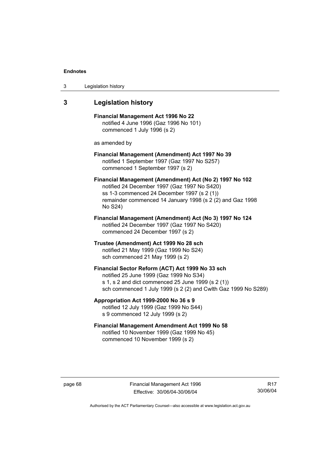| 3 | Legislation history |  |
|---|---------------------|--|
|---|---------------------|--|

### **3 Legislation history**

**Financial Management Act 1996 No 22**  notified 4 June 1996 (Gaz 1996 No 101) commenced 1 July 1996 (s 2)

as amended by

#### **Financial Management (Amendment) Act 1997 No 39**  notified 1 September 1997 (Gaz 1997 No S257) commenced 1 September 1997 (s 2)

**Financial Management (Amendment) Act (No 2) 1997 No 102**  notified 24 December 1997 (Gaz 1997 No S420) ss 1-3 commenced 24 December 1997 (s 2 (1)) remainder commenced 14 January 1998 (s 2 (2) and Gaz 1998 No S24)

**Financial Management (Amendment) Act (No 3) 1997 No 124**  notified 24 December 1997 (Gaz 1997 No S420) commenced 24 December 1997 (s 2)

**Trustee (Amendment) Act 1999 No 28 sch**  notified 21 May 1999 (Gaz 1999 No S24) sch commenced 21 May 1999 (s 2)

#### **Financial Sector Reform (ACT) Act 1999 No 33 sch**  notified 25 June 1999 (Gaz 1999 No S34) s 1, s 2 and dict commenced 25 June 1999 (s 2 (1)) sch commenced 1 July 1999 (s 2 (2) and Cwlth Gaz 1999 No S289)

### **Appropriation Act 1999-2000 No 36 s 9**  notified 12 July 1999 (Gaz 1999 No S44) s 9 commenced 12 July 1999 (s 2)

### **Financial Management Amendment Act 1999 No 58**  notified 10 November 1999 (Gaz 1999 No 45) commenced 10 November 1999 (s 2)

page 68 Financial Management Act 1996 Effective: 30/06/04-30/06/04

R17 30/06/04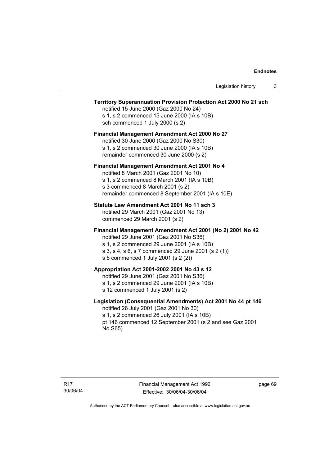### **Territory Superannuation Provision Protection Act 2000 No 21 sch**

notified 15 June 2000 (Gaz 2000 No 24) s 1, s 2 commenced 15 June 2000 (IA s 10B) sch commenced 1 July 2000 (s 2)

### **Financial Management Amendment Act 2000 No 27**

notified 30 June 2000 (Gaz 2000 No S30) s 1, s 2 commenced 30 June 2000 (IA s 10B) remainder commenced 30 June 2000 (s 2)

#### **Financial Management Amendment Act 2001 No 4**

notified 8 March 2001 (Gaz 2001 No 10) s 1, s 2 commenced 8 March 2001 (IA s 10B) s 3 commenced 8 March 2001 (s 2) remainder commenced 8 September 2001 (IA s 10E)

#### **Statute Law Amendment Act 2001 No 11 sch 3**

notified 29 March 2001 (Gaz 2001 No 13) commenced 29 March 2001 (s 2)

#### **Financial Management Amendment Act 2001 (No 2) 2001 No 42**

notified 29 June 2001 (Gaz 2001 No S36)

- s 1, s 2 commenced 29 June 2001 (IA s 10B)
- s 3, s 4, s 6, s 7 commenced 29 June 2001 (s 2 (1))
- s 5 commenced 1 July 2001 (s 2 (2))

### **Appropriation Act 2001-2002 2001 No 43 s 12**

notified 29 June 2001 (Gaz 2001 No S36)

- s 1, s 2 commenced 29 June 2001 (IA s 10B)
- s 12 commenced 1 July 2001 (s 2)

#### **Legislation (Consequential Amendments) Act 2001 No 44 pt 146**

notified 26 July 2001 (Gaz 2001 No 30) s 1, s 2 commenced 26 July 2001 (IA s 10B) pt 146 commenced 12 September 2001 (s 2 and see Gaz 2001 No S65)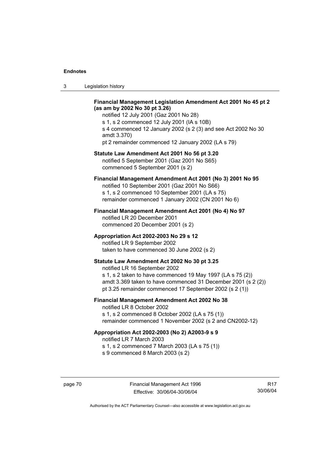| ు | Legislation history |  |
|---|---------------------|--|
|---|---------------------|--|

#### **Financial Management Legislation Amendment Act 2001 No 45 pt 2 (as am by 2002 No 30 pt 3.26)**

notified 12 July 2001 (Gaz 2001 No 28) s 1, s 2 commenced 12 July 2001 (IA s 10B) s 4 commenced 12 January 2002 (s 2 (3) and see Act 2002 No 30 amdt 3.370) pt 2 remainder commenced 12 January 2002 (LA s 79)

#### **Statute Law Amendment Act 2001 No 56 pt 3.20**

notified 5 September 2001 (Gaz 2001 No S65) commenced 5 September 2001 (s 2)

### **Financial Management Amendment Act 2001 (No 3) 2001 No 95**

notified 10 September 2001 (Gaz 2001 No S66) s 1, s 2 commenced 10 September 2001 (LA s 75) remainder commenced 1 January 2002 (CN 2001 No 6)

#### **Financial Management Amendment Act 2001 (No 4) No 97**

notified LR 20 December 2001 commenced 20 December 2001 (s 2)

#### **Appropriation Act 2002-2003 No 29 s 12**

notified LR 9 September 2002 taken to have commenced 30 June 2002 (s 2)

#### **Statute Law Amendment Act 2002 No 30 pt 3.25**

notified LR 16 September 2002 s 1, s 2 taken to have commenced 19 May 1997 (LA s 75 (2)) amdt 3.369 taken to have commenced 31 December 2001 (s 2 (2)) pt 3.25 remainder commenced 17 September 2002 (s 2 (1))

### **Financial Management Amendment Act 2002 No 38**

notified LR 8 October 2002 s 1, s 2 commenced 8 October 2002 (LA s 75 (1)) remainder commenced 1 November 2002 (s 2 and CN2002-12)

### **Appropriation Act 2002-2003 (No 2) A2003-9 s 9**

notified LR 7 March 2003

s 1, s 2 commenced 7 March 2003 (LA s 75 (1))

s 9 commenced 8 March 2003 (s 2)

R17 30/06/04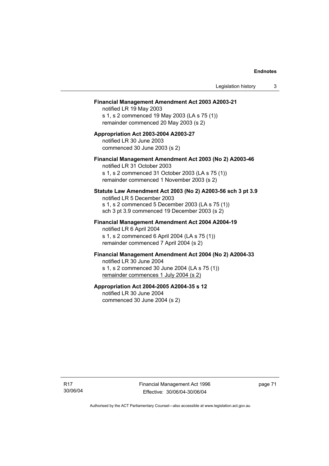#### **Financial Management Amendment Act 2003 A2003-21**

notified LR 19 May 2003 s 1, s 2 commenced 19 May 2003 (LA s 75 (1)) remainder commenced 20 May 2003 (s 2)

#### **Appropriation Act 2003-2004 A2003-27**  notified LR 30 June 2003 commenced 30 June 2003 (s 2)

#### **Financial Management Amendment Act 2003 (No 2) A2003-46**

notified LR 31 October 2003 s 1, s 2 commenced 31 October 2003 (LA s 75 (1)) remainder commenced 1 November 2003 (s 2)

### **Statute Law Amendment Act 2003 (No 2) A2003-56 sch 3 pt 3.9**

notified LR 5 December 2003 s 1, s 2 commenced 5 December 2003 (LA s 75 (1)) sch 3 pt 3.9 commenced 19 December 2003 (s 2)

### **Financial Management Amendment Act 2004 A2004-19**  notified LR 6 April 2004

s 1, s 2 commenced 6 April 2004 (LA s 75 (1)) remainder commenced 7 April 2004 (s 2)

### **Financial Management Amendment Act 2004 (No 2) A2004-33**

notified LR 30 June 2004 s 1, s 2 commenced 30 June 2004 (LA s 75 (1)) remainder commences 1 July 2004 (s 2)

#### **Appropriation Act 2004-2005 A2004-35 s 12**

notified LR 30 June 2004 commenced 30 June 2004 (s 2)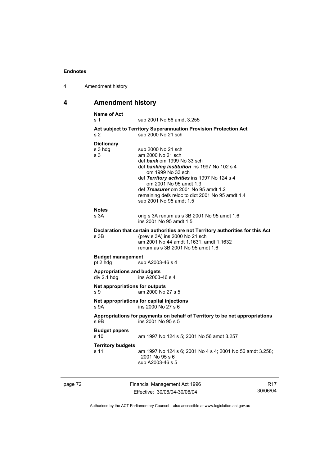| 4 | Amendment history |
|---|-------------------|
|---|-------------------|

# **4 Amendment history**

|         | <b>Name of Act</b><br>s 1                        | sub 2001 No 56 amdt 3.255                                                                                                                                                                                                                                                                                                                  |                 |
|---------|--------------------------------------------------|--------------------------------------------------------------------------------------------------------------------------------------------------------------------------------------------------------------------------------------------------------------------------------------------------------------------------------------------|-----------------|
|         | s <sub>2</sub>                                   | Act subject to Territory Superannuation Provision Protection Act<br>sub 2000 No 21 sch                                                                                                                                                                                                                                                     |                 |
|         | <b>Dictionary</b><br>s 3 hdg<br>s 3              | sub 2000 No 21 sch<br>am 2000 No 21 sch<br>def bank om 1999 No 33 sch<br>def banking institution ins 1997 No 102 s 4<br>om 1999 No 33 sch<br>def Territory activities ins 1997 No 124 s 4<br>om 2001 No 95 amdt 1.3<br>def Treasurer om 2001 No 95 amdt 1.2<br>remaining defs reloc to dict 2001 No 95 amdt 1.4<br>sub 2001 No 95 amdt 1.5 |                 |
|         | <b>Notes</b><br>s 3A                             | orig s 3A renum as s 3B 2001 No 95 amdt 1.6<br>ins 2001 No 95 amdt 1.5                                                                                                                                                                                                                                                                     |                 |
|         | s 3B                                             | Declaration that certain authorities are not Territory authorities for this Act<br>(prev s 3A) ins 2000 No 21 sch<br>am 2001 No 44 amdt 1.1631, amdt 1.1632<br>renum as s 3B 2001 No 95 amdt 1.6                                                                                                                                           |                 |
|         | <b>Budget management</b><br>pt 2 hdg             | sub A2003-46 s 4                                                                                                                                                                                                                                                                                                                           |                 |
|         | <b>Appropriations and budgets</b><br>div 2.1 hdg | ins A2003-46 s 4                                                                                                                                                                                                                                                                                                                           |                 |
|         | Net appropriations for outputs<br>s 9            | am 2000 No 27 s 5                                                                                                                                                                                                                                                                                                                          |                 |
|         | S <sub>9A</sub>                                  | Net appropriations for capital injections<br>ins 2000 No 27 s 6                                                                                                                                                                                                                                                                            |                 |
|         | s 9B                                             | Appropriations for payments on behalf of Territory to be net appropriations<br>ins 2001 No 95 s 5                                                                                                                                                                                                                                          |                 |
|         | <b>Budget papers</b><br>s 10                     | am 1997 No 124 s 5; 2001 No 56 amdt 3.257                                                                                                                                                                                                                                                                                                  |                 |
|         | <b>Territory budgets</b><br>s 11                 | am 1997 No 124 s 6; 2001 No 4 s 4; 2001 No 56 amdt 3.258;<br>2001 No 95 s 6<br>sub A2003-46 s 5                                                                                                                                                                                                                                            |                 |
| page 72 |                                                  | Financial Management Act 1996                                                                                                                                                                                                                                                                                                              | R <sub>17</sub> |

Effective: 30/06/04-30/06/04

R17 30/06/04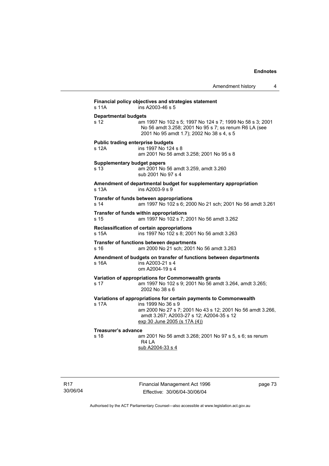|                                                   |                                                                                                                                                                                                                                   | Amendment history | 4 |
|---------------------------------------------------|-----------------------------------------------------------------------------------------------------------------------------------------------------------------------------------------------------------------------------------|-------------------|---|
| s 11A                                             | Financial policy objectives and strategies statement<br>ins A2003-46 s 5                                                                                                                                                          |                   |   |
| <b>Departmental budgets</b>                       |                                                                                                                                                                                                                                   |                   |   |
| s <sub>12</sub>                                   | am 1997 No 102 s 5; 1997 No 124 s 7; 1999 No 58 s 3; 2001<br>No 56 amdt 3.258; 2001 No 95 s 7; ss renum R6 LA (see<br>2001 No 95 amdt 1.7); 2002 No 38 s 4, s 5                                                                   |                   |   |
| <b>Public trading enterprise budgets</b><br>s 12A | ins 1997 No 124 s 8<br>am 2001 No 56 amdt 3.258; 2001 No 95 s 8                                                                                                                                                                   |                   |   |
| <b>Supplementary budget papers</b><br>s 13        | am 2001 No 56 amdt 3.259, amdt 3.260<br>sub 2001 No 97 s 4                                                                                                                                                                        |                   |   |
| s 13A                                             | Amendment of departmental budget for supplementary appropriation<br>ins A2003-9 s 9                                                                                                                                               |                   |   |
| s <sub>14</sub>                                   | Transfer of funds between appropriations<br>am 1997 No 102 s 6; 2000 No 21 sch; 2001 No 56 amdt 3.261                                                                                                                             |                   |   |
| s 15                                              | Transfer of funds within appropriations<br>am 1997 No 102 s 7; 2001 No 56 amdt 3.262                                                                                                                                              |                   |   |
| s 15A                                             | Reclassification of certain appropriations<br>ins 1997 No 102 s 8; 2001 No 56 amdt 3.263                                                                                                                                          |                   |   |
| s 16                                              | Transfer of functions between departments<br>am 2000 No 21 sch; 2001 No 56 amdt 3.263                                                                                                                                             |                   |   |
| s 16A                                             | Amendment of budgets on transfer of functions between departments<br>ins A2003-21 s 4<br>om A2004-19 s 4                                                                                                                          |                   |   |
| s 17                                              | Variation of appropriations for Commonwealth grants<br>am 1997 No 102 s 9; 2001 No 56 amdt 3.264, amdt 3.265;<br>2002 No 38 s 6                                                                                                   |                   |   |
| s 17A                                             | Variations of appropriations for certain payments to Commonwealth<br>ins 1999 No 36 s 9<br>am 2000 No 27 s 7; 2001 No 43 s 12; 2001 No 56 amdt 3.266,<br>amdt 3.267; A2003-27 s 12; A2004-35 s 12<br>exp 30 June 2005 (s 17A (4)) |                   |   |
| <b>Treasurer's advance</b><br>s <sub>18</sub>     | am 2001 No 56 amdt 3.268; 2001 No 97 s 5, s 6; ss renum<br>R4 LA<br>sub A2004-33 s 4                                                                                                                                              |                   |   |

page 73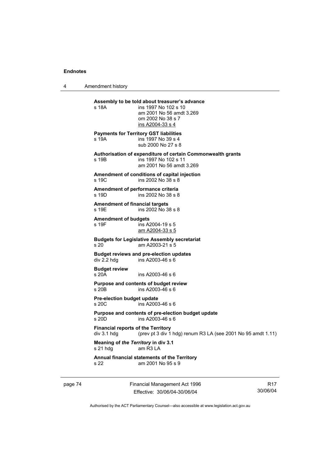4 Amendment history

| s 18A                                                    | Assembly to be told about treasurer's advance<br>ins 1997 No 102 s 10<br>am 2001 No 56 amdt 3.269<br>om 2002 No 38 s 7<br>ins A2004-33 s 4 |
|----------------------------------------------------------|--------------------------------------------------------------------------------------------------------------------------------------------|
| s 19A                                                    | <b>Payments for Territory GST liabilities</b><br>ins 1997 No 39 s 4<br>sub 2000 No 27 s 8                                                  |
| s 19B                                                    | Authorisation of expenditure of certain Commonwealth grants<br>ins 1997 No 102 s 11<br>am 2001 No 56 amdt 3.269                            |
| s 19C                                                    | Amendment of conditions of capital injection<br>ins 2002 No 38 s 8                                                                         |
| Amendment of performance criteria<br>s 19D               | ins 2002 No 38 s 8                                                                                                                         |
| <b>Amendment of financial targets</b><br>s 19E           | ins 2002 No 38 s 8                                                                                                                         |
| <b>Amendment of budgets</b><br>s 19F                     | ins A2004-19 s 5<br>am A2004-33 s 5                                                                                                        |
| s 20                                                     | <b>Budgets for Legislative Assembly secretariat</b><br>am A2003-21 s 5                                                                     |
| div 2.2 hdg                                              | <b>Budget reviews and pre-election updates</b><br>ins A2003-46 s 6                                                                         |
| <b>Budget review</b><br>s20A                             | ins A2003-46 s 6                                                                                                                           |
| s 20 <sub>B</sub>                                        | Purpose and contents of budget review<br>ins A2003-46 s 6                                                                                  |
| Pre-election budget update<br>s 20C                      | ins A2003-46 s 6                                                                                                                           |
| s 20D                                                    | Purpose and contents of pre-election budget update<br>ins A2003-46 s 6                                                                     |
| <b>Financial reports of the Territory</b><br>div 3.1 hdg | (prev pt 3 div 1 hdg) renum R3 LA (see 2001 No 95 amdt 1.11)                                                                               |
| Meaning of the Territory in div 3.1<br>s 21 hdg          | am R <sub>3</sub> LA                                                                                                                       |
| s 22                                                     | Annual financial statements of the Territory<br>am 2001 No 95 s 9                                                                          |
|                                                          |                                                                                                                                            |

page 74 Financial Management Act 1996 Effective: 30/06/04-30/06/04

R17 30/06/04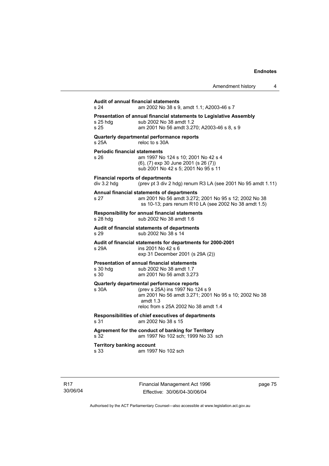| <b>Audit of annual financial statements</b>            |                                                                                                                                                                                               |
|--------------------------------------------------------|-----------------------------------------------------------------------------------------------------------------------------------------------------------------------------------------------|
| s 24                                                   | am 2002 No 38 s 9, amdt 1.1; A2003-46 s 7                                                                                                                                                     |
| s 25 hda<br>s 25                                       | Presentation of annual financial statements to Legislative Assembly<br>sub 2002 No 38 amdt 1.2<br>am 2001 No 56 amdt 3.270; A2003-46 s 8, s 9                                                 |
| s 25A                                                  | Quarterly departmental performance reports<br>reloc to s 30A                                                                                                                                  |
| <b>Periodic financial statements</b><br>s 26           | am 1997 No 124 s 10; 2001 No 42 s 4<br>(6), (7) exp 30 June 2001 (s 26 (7))<br>sub 2001 No 42 s 5; 2001 No 95 s 11                                                                            |
| <b>Financial reports of departments</b><br>div 3.2 hdg | (prev pt 3 div 2 hdg) renum R3 LA (see 2001 No 95 amdt 1.11)                                                                                                                                  |
| s 27                                                   | Annual financial statements of departments<br>am 2001 No 56 amdt 3.272; 2001 No 95 s 12; 2002 No 38<br>ss 10-13; pars renum R10 LA (see 2002 No 38 amdt 1.5)                                  |
| s 28 hdg                                               | Responsibility for annual financial statements<br>sub 2002 No 38 amdt 1.6                                                                                                                     |
| s 29                                                   | Audit of financial statements of departments<br>sub 2002 No 38 s 14                                                                                                                           |
| s 29A                                                  | Audit of financial statements for departments for 2000-2001<br>ins 2001 No 42 s 6<br>exp 31 December 2001 (s 29A (2))                                                                         |
| s 30 hdg<br>s 30                                       | <b>Presentation of annual financial statements</b><br>sub 2002 No 38 amdt 1.7<br>am 2001 No 56 amdt 3.273                                                                                     |
| s 30A                                                  | Quarterly departmental performance reports<br>(prev s 25A) ins 1997 No 124 s 9<br>am 2001 No 56 amdt 3.271; 2001 No 95 s 10; 2002 No 38<br>amdt $1.3$<br>reloc from s 25A 2002 No 38 amdt 1.4 |
| s 31                                                   | Responsibilities of chief executives of departments<br>am 2002 No 38 s 15                                                                                                                     |
| s 32                                                   | Agreement for the conduct of banking for Territory<br>am 1997 No 102 sch; 1999 No 33 sch                                                                                                      |
| <b>Territory banking account</b><br>s 33               | am 1997 No 102 sch                                                                                                                                                                            |

page 75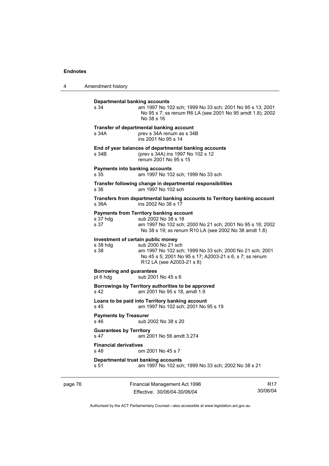4 Amendment history

| <b>Departmental banking accounts</b><br>s 34           | am 1997 No 102 sch; 1999 No 33 sch; 2001 No 95 s 13; 2001<br>No 95 s 7; ss renum R6 LA (see 2001 No 95 amdt 1.8); 2002<br>No 38 s 16                                                        |
|--------------------------------------------------------|---------------------------------------------------------------------------------------------------------------------------------------------------------------------------------------------|
| s 34A                                                  | Transfer of departmental banking account<br>prev s 34A renum as s 34B<br>ins 2001 No 95 s 14                                                                                                |
| s 34B                                                  | End of year balances of departmental banking accounts<br>(prev s 34A) ins 1997 No 102 s 12<br>renum 2001 No 95 s 15                                                                         |
| Payments into banking accounts<br>s 35                 | am 1997 No 102 sch; 1999 No 33 sch                                                                                                                                                          |
| s 36                                                   | Transfer following change in departmental responsibilities<br>am 1997 No 102 sch                                                                                                            |
| s.36A                                                  | Transfers from departmental banking accounts to Territory banking account<br>ins 2002 No 38 s 17                                                                                            |
| s 37 hdg<br>s 37                                       | <b>Payments from Territory banking account</b><br>sub 2002 No 38 s 18<br>am 1997 No 102 sch; 2000 No 21 sch; 2001 No 95 s 16; 2002<br>No 38 s 19; ss renum R10 LA (see 2002 No 38 amdt 1.8) |
| Investment of certain public money<br>s 38 hdg<br>s 38 | sub 2000 No 21 sch<br>am 1997 No 102 sch; 1999 No 33 sch; 2000 No 21 sch; 2001<br>No 45 s 5; 2001 No 95 s 17; A2003-21 s 6, s 7; ss renum<br>R12 LA (see A2003-21 s 8)                      |
| <b>Borrowing and guarantees</b><br>pt 6 hdg            | sub 2001 No 45 s 6                                                                                                                                                                          |
| s 42                                                   | Borrowings by Territory authorities to be approved<br>am 2001 No 95 s 18, amdt 1.9                                                                                                          |
| s 45                                                   | Loans to be paid into Territory banking account<br>am 1997 No 102 sch; 2001 No 95 s 19                                                                                                      |
| <b>Payments by Treasurer</b><br>$s$ 46                 | sub 2002 No 38 s 20                                                                                                                                                                         |
| <b>Guarantees by Territory</b><br>s <sub>47</sub>      | am 2001 No 56 amdt 3.274                                                                                                                                                                    |
| <b>Financial derivatives</b><br>s <sub>48</sub>        | om 2001 No 45 s 7                                                                                                                                                                           |
| s 51                                                   | Departmental trust banking accounts<br>am 1997 No 102 sch; 1999 No 33 sch; 2002 No 38 s 21                                                                                                  |
|                                                        |                                                                                                                                                                                             |

page 76 Financial Management Act 1996 Effective: 30/06/04-30/06/04

R17 30/06/04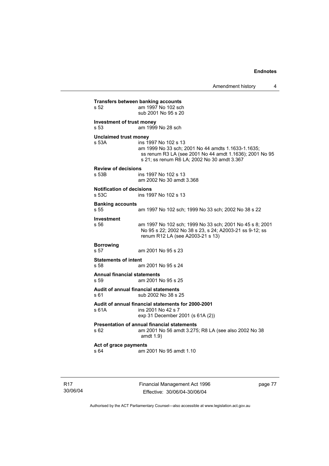**Transfers between banking accounts**<br>s 52 am 1997 No 102 sch am 1997 No 102 sch sub 2001 No 95 s 20 **Investment of trust money**  s 53 am 1999 No 28 sch **Unclaimed trust money**  s 53A ins 1997 No 102 s 13 am 1999 No 33 sch; 2001 No 44 amdts 1.1633-1.1635; ss renum R3 LA (see 2001 No 44 amdt 1.1636); 2001 No 95 s 21; ss renum R6 LA; 2002 No 30 amdt 3.367 **Review of decisions**  ins 1997 No 102 s 13 am 2002 No 30 amdt 3.368 **Notification of decisions**  s 53C ins 1997 No 102 s 13 **Banking accounts**  am 1997 No 102 sch; 1999 No 33 sch; 2002 No 38 s 22 **Investment**  s 56 am 1997 No 102 sch; 1999 No 33 sch; 2001 No 45 s 8; 2001 No 95 s 22; 2002 No 38 s 23, s 24; A2003-21 ss 9-12; ss renum R12 LA (see A2003-21 s 13) **Borrowing**  s 57 am 2001 No 95 s 23 **Statements of intent**  s 58 am 2001 No 95 s 24 **Annual financial statements**  s 59 am 2001 No 95 s 25 **Audit of annual financial statements**  s 61 sub 2002 No 38 s 25 **Audit of annual financial statements for 2000-2001**  s 61A ins 2001 No 42 s 7 exp 31 December 2001 (s 61A (2)) **Presentation of annual financial statements**  s 62 am 2001 No 56 amdt 3.275; R8 LA (see also 2002 No 38 amdt 1.9) **Act of grace payments**  s 64 am 2001 No 95 amdt 1.10

R17 30/06/04 Financial Management Act 1996 Effective: 30/06/04-30/06/04

page 77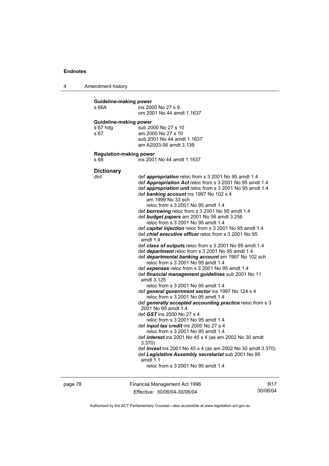4 Amendment history

| Guideline-making power<br>s 66A            | ins 2000 No 27 s 9<br>om 2001 No 44 amdt 1.1637                                                                                                                                                                                                                                                                                                                                                                                                                                                                                                                                                                                                                                                                                                                                                                                                                                                                                                                                                                                                                                                                                                                                                                                                                                                                                                                                                                                                                                                                                                       |
|--------------------------------------------|-------------------------------------------------------------------------------------------------------------------------------------------------------------------------------------------------------------------------------------------------------------------------------------------------------------------------------------------------------------------------------------------------------------------------------------------------------------------------------------------------------------------------------------------------------------------------------------------------------------------------------------------------------------------------------------------------------------------------------------------------------------------------------------------------------------------------------------------------------------------------------------------------------------------------------------------------------------------------------------------------------------------------------------------------------------------------------------------------------------------------------------------------------------------------------------------------------------------------------------------------------------------------------------------------------------------------------------------------------------------------------------------------------------------------------------------------------------------------------------------------------------------------------------------------------|
| Guideline-making power<br>s 67 hdg<br>s 67 | sub 2000 No 27 s 10<br>am 2000 No 27 s 10<br>sub 2001 No 44 amdt 1.1637<br>am A2003-56 amdt 3.139                                                                                                                                                                                                                                                                                                                                                                                                                                                                                                                                                                                                                                                                                                                                                                                                                                                                                                                                                                                                                                                                                                                                                                                                                                                                                                                                                                                                                                                     |
| <b>Regulation-making power</b><br>s 68     | ins 2001 No 44 amdt 1.1637                                                                                                                                                                                                                                                                                                                                                                                                                                                                                                                                                                                                                                                                                                                                                                                                                                                                                                                                                                                                                                                                                                                                                                                                                                                                                                                                                                                                                                                                                                                            |
| <b>Dictionary</b><br>dict                  | def appropriation reloc from s 3 2001 No 95 amdt 1.4<br>def Appropriation Act reloc from s 3 2001 No 95 amdt 1.4<br>def appropriation unit reloc from s 3 2001 No 95 amdt 1.4<br>def banking account ins 1997 No 102 s 4<br>am 1999 No 33 sch<br>reloc from s 3 2001 No 95 amdt 1.4<br>def borrowing reloc from s 3 2001 No 95 amdt 1.4<br>def <b>budget papers</b> am 2001 No 56 amdt 3.256<br>reloc from s 3 2001 No 95 amdt 1.4<br>def capital injection reloc from s 3 2001 No 95 amdt 1.4<br>def <i>chief executive officer</i> reloc from s 3 2001 No 95<br>amdt $1.4$<br>def class of outputs reloc from s 3 2001 No 95 amdt 1.4<br>def department reloc from s 3 2001 No 95 amdt 1.4<br>def departmental banking account am 1997 No 102 sch<br>reloc from s 3 2001 No 95 amdt 1.4<br>def expenses reloc from s 3 2001 No 95 amdt 1.4<br>def financial management guidelines sub 2001 No 11<br>amdt 3.125<br>reloc from s 3 2001 No 95 amdt 1.4<br>def general government sector ins 1997 No 124 s 4<br>reloc from s 3 2001 No 95 amdt 1.4<br>def generally accepted accounting practice reloc from s 3<br>2001 No 95 amdt 1.4<br>def GST ins 2000 No 27 s 4<br>reloc from s 3 2001 No 95 amdt 1.4<br>def input tax credit ins 2000 No 27 s 4<br>reloc from s 3 2001 No 95 amdt 1.4<br>def <i>interest</i> ins 2001 No 45 s 4 (as am 2002 No 30 amdt<br>3.370<br>def <i>invest</i> ins 2001 No 45 s 4 (as am 2002 No 30 amdt 3.370)<br>def Legislative Assembly secretariat sub 2001 No 95<br>amdt $1.1$<br>reloc from s 3 2001 No 95 amdt 1.4 |

page 78 Financial Management Act 1996 Effective: 30/06/04-30/06/04

R17 30/06/04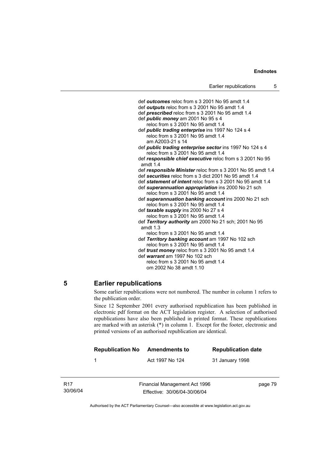def *outcomes* reloc from s 3 2001 No 95 amdt 1.4 def *outputs* reloc from s 3 2001 No 95 amdt 1.4 def *prescribed* reloc from s 3 2001 No 95 amdt 1.4 def *public money* am 2001 No 95 s 4 reloc from s 3 2001 No 95 amdt 1.4 def *public trading enterprise* ins 1997 No 124 s 4 reloc from s 3 2001 No 95 amdt 1.4 am A2003-21 s 14 def *public trading enterprise sector* ins 1997 No 124 s 4 reloc from s 3 2001 No 95 amdt 1.4 def *responsible chief executive* reloc from s 3 2001 No 95 amdt 1.4 def *responsible Minister* reloc from s 3 2001 No 95 amdt 1.4 def *securities* reloc from s 3 dict 2001 No 95 amdt 1.4 def *statement of intent* reloc from s 3 2001 No 95 amdt 1.4 def *superannuation appropriation* ins 2000 No 21 sch reloc from s 3 2001 No 95 amdt 1.4 def *superannuation banking account* ins 2000 No 21 sch reloc from s 3 2001 No 95 amdt 1.4 def *taxable supply* ins 2000 No 27 s 4 reloc from  $\dot{s}$  3 2001 No 95 amdt 1.4 def *Territory authority* am 2000 No 21 sch; 2001 No 95 amdt 1.3 reloc from s 3 2001 No 95 amdt 1.4 def *Territory banking account* am 1997 No 102 sch reloc from s 3 2001 No 95 amdt 1.4 def *trust money* reloc from s 3 2001 No 95 amdt 1.4 def *warrant* am 1997 No 102 sch reloc from s 3 2001 No 95 amdt 1.4 om 2002 No 38 amdt 1.10

### **5 Earlier republications**

Some earlier republications were not numbered. The number in column 1 refers to the publication order.

Since 12 September 2001 every authorised republication has been published in electronic pdf format on the ACT legislation register. A selection of authorised republications have also been published in printed format. These republications are marked with an asterisk (\*) in column 1. Except for the footer, electronic and printed versions of an authorised republication are identical.

| <b>Republication No</b> | <b>Amendments to</b> | <b>Republication date</b> |
|-------------------------|----------------------|---------------------------|
|                         | Act 1997 No 124      | 31 January 1998           |
|                         |                      |                           |

R17 30/06/04 Financial Management Act 1996 Effective: 30/06/04-30/06/04

page 79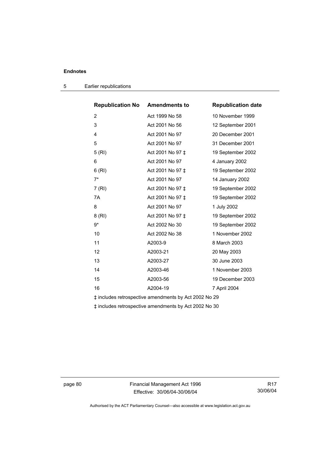| <b>Republication No</b>                               | <b>Amendments to</b> | <b>Republication date</b> |  |
|-------------------------------------------------------|----------------------|---------------------------|--|
| $\overline{2}$                                        | Act 1999 No 58       | 10 November 1999          |  |
| 3                                                     | Act 2001 No 56       | 12 September 2001         |  |
| 4                                                     | Act 2001 No 97       | 20 December 2001          |  |
| 5                                                     | Act 2001 No 97       | 31 December 2001          |  |
| 5(RI)                                                 | Act 2001 No 97 ‡     | 19 September 2002         |  |
| 6                                                     | Act 2001 No 97       | 4 January 2002            |  |
| 6(RI)                                                 | Act 2001 No 97 ‡     | 19 September 2002         |  |
| $7^*$                                                 | Act 2001 No 97       | 14 January 2002           |  |
| 7(RI)                                                 | Act 2001 No 97 ‡     | 19 September 2002         |  |
| 7A                                                    | Act 2001 No 97 ‡     | 19 September 2002         |  |
| 8                                                     | Act 2001 No 97       | 1 July 2002               |  |
| 8 (RI)                                                | Act 2001 No 97 ‡     | 19 September 2002         |  |
| 9*                                                    | Act 2002 No 30       | 19 September 2002         |  |
| 10                                                    | Act 2002 No 38       | 1 November 2002           |  |
| 11                                                    | A2003-9              | 8 March 2003              |  |
| 12                                                    | A2003-21             | 20 May 2003               |  |
| 13                                                    | A2003-27             | 30 June 2003              |  |
| 14                                                    | A2003-46             | 1 November 2003           |  |
| 15                                                    | A2003-56             | 19 December 2003          |  |
| 16                                                    | A2004-19             | 7 April 2004              |  |
| ‡ includes retrospective amendments by Act 2002 No 29 |                      |                           |  |

5 Earlier republications

‡ includes retrospective amendments by Act 2002 No 30

page 80 Financial Management Act 1996 Effective: 30/06/04-30/06/04

R17 30/06/04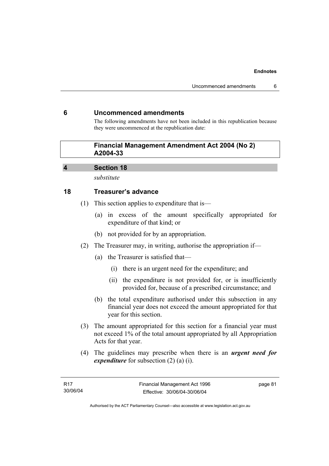### **6 Uncommenced amendments**

The following amendments have not been included in this republication because they were uncommenced at the republication date:

### **Financial Management Amendment Act 2004 (No 2) A2004-33**

### **4 Section 18**

*substitute* 

### **18 Treasurer's advance**

- (1) This section applies to expenditure that is—
	- (a) in excess of the amount specifically appropriated for expenditure of that kind; or
	- (b) not provided for by an appropriation.
- (2) The Treasurer may, in writing, authorise the appropriation if—
	- (a) the Treasurer is satisfied that—
		- (i) there is an urgent need for the expenditure; and
		- (ii) the expenditure is not provided for, or is insufficiently provided for, because of a prescribed circumstance; and
	- (b) the total expenditure authorised under this subsection in any financial year does not exceed the amount appropriated for that year for this section.
- (3) The amount appropriated for this section for a financial year must not exceed 1% of the total amount appropriated by all Appropriation Acts for that year.
- (4) The guidelines may prescribe when there is an *urgent need for expenditure* for subsection (2) (a) (i).

page 81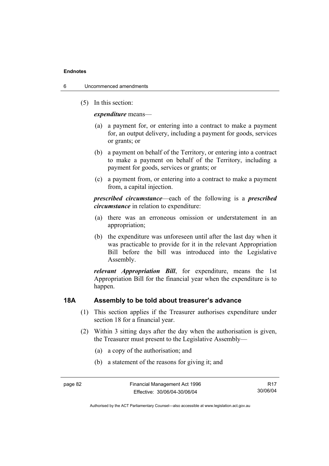- 6 Uncommenced amendments
	- (5) In this section:

*expenditure* means—

- (a) a payment for, or entering into a contract to make a payment for, an output delivery, including a payment for goods, services or grants; or
- (b) a payment on behalf of the Territory, or entering into a contract to make a payment on behalf of the Territory, including a payment for goods, services or grants; or
- (c) a payment from, or entering into a contract to make a payment from, a capital injection.

*prescribed circumstance*—each of the following is a *prescribed circumstance* in relation to expenditure:

- (a) there was an erroneous omission or understatement in an appropriation;
- (b) the expenditure was unforeseen until after the last day when it was practicable to provide for it in the relevant Appropriation Bill before the bill was introduced into the Legislative Assembly.

*relevant Appropriation Bill*, for expenditure, means the 1st Appropriation Bill for the financial year when the expenditure is to happen.

### **18A Assembly to be told about treasurer's advance**

- (1) This section applies if the Treasurer authorises expenditure under section 18 for a financial year.
- (2) Within 3 sitting days after the day when the authorisation is given, the Treasurer must present to the Legislative Assembly—
	- (a) a copy of the authorisation; and
	- (b) a statement of the reasons for giving it; and

R17 30/06/04

Authorised by the ACT Parliamentary Counsel—also accessible at www.legislation.act.gov.au